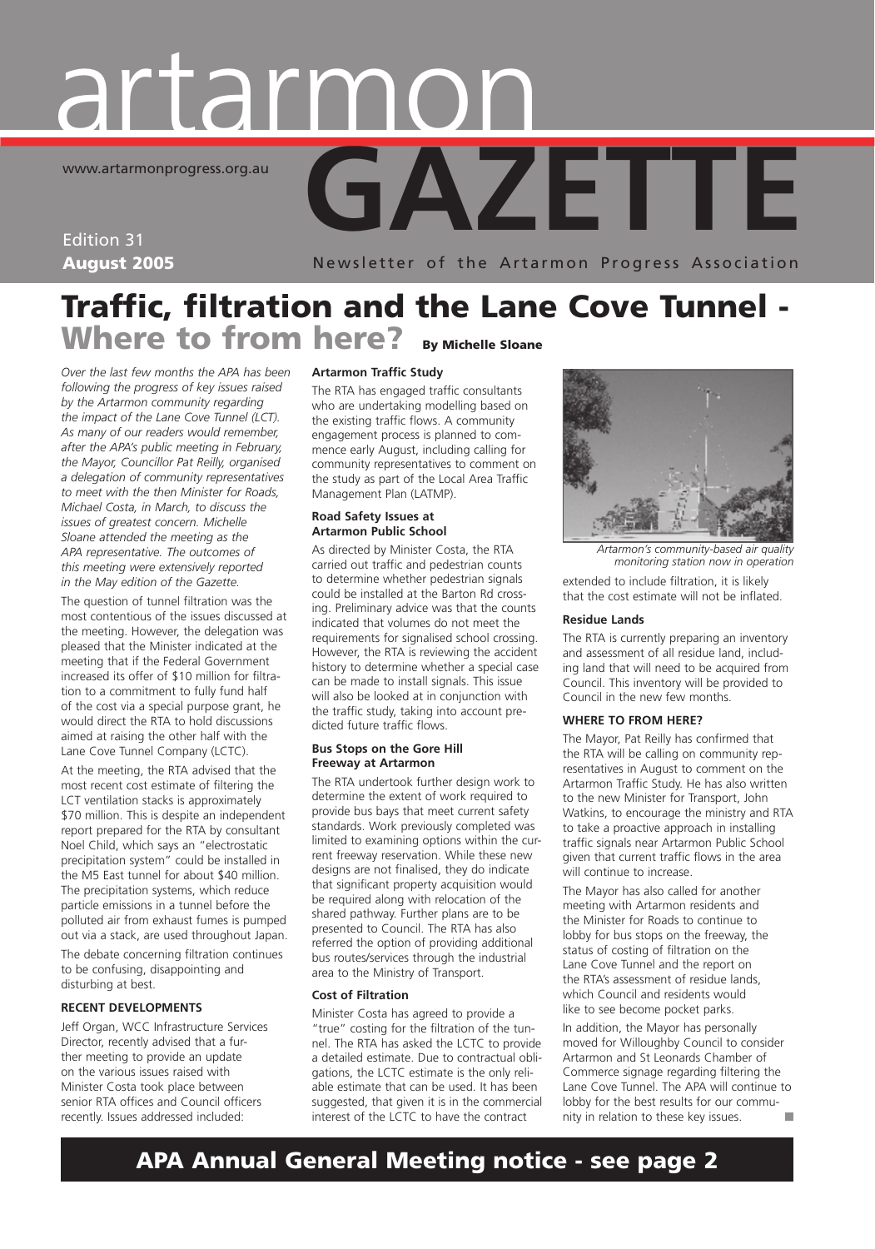## **GAZETTE** artarmon www.artarmonprogress.org.au

Edition 31 August 2005

Newsletter of the Artarmon Progress Association

## Traffic, filtration and the Lane Cove Tunnel - Where to from here? By Michelle Sloane

*Over the last few months the APA has been following the progress of key issues raised by the Artarmon community regarding the impact of the Lane Cove Tunnel (LCT). As many of our readers would remember, after the APA's public meeting in February, the Mayor, Councillor Pat Reilly, organised a delegation of community representatives to meet with the then Minister for Roads, Michael Costa, in March, to discuss the issues of greatest concern. Michelle Sloane attended the meeting as the APA representative. The outcomes of this meeting were extensively reported in the May edition of the Gazette.* 

The question of tunnel filtration was the most contentious of the issues discussed at the meeting. However, the delegation was pleased that the Minister indicated at the meeting that if the Federal Government increased its offer of \$10 million for filtration to a commitment to fully fund half of the cost via a special purpose grant, he would direct the RTA to hold discussions aimed at raising the other half with the Lane Cove Tunnel Company (LCTC).

At the meeting, the RTA advised that the most recent cost estimate of filtering the LCT ventilation stacks is approximately \$70 million. This is despite an independent report prepared for the RTA by consultant Noel Child, which says an "electrostatic precipitation system" could be installed in the M5 East tunnel for about \$40 million. The precipitation systems, which reduce particle emissions in a tunnel before the polluted air from exhaust fumes is pumped out via a stack, are used throughout Japan.

The debate concerning filtration continues to be confusing, disappointing and disturbing at best.

#### **RECENT DEVELOPMENTS**

Jeff Organ, WCC Infrastructure Services Director, recently advised that a further meeting to provide an update on the various issues raised with Minister Costa took place between senior RTA offices and Council officers recently. Issues addressed included:

#### **Artarmon Traffic Study**

The RTA has engaged traffic consultants who are undertaking modelling based on the existing traffic flows. A community engagement process is planned to commence early August, including calling for community representatives to comment on the study as part of the Local Area Traffic Management Plan (LATMP).

#### **Road Safety Issues at Artarmon Public School**

As directed by Minister Costa, the RTA carried out traffic and pedestrian counts to determine whether pedestrian signals could be installed at the Barton Rd crossing. Preliminary advice was that the counts indicated that volumes do not meet the requirements for signalised school crossing. However, the RTA is reviewing the accident history to determine whether a special case can be made to install signals. This issue will also be looked at in conjunction with the traffic study, taking into account predicted future traffic flows.

#### **Bus Stops on the Gore Hill Freeway at Artarmon**

The RTA undertook further design work to determine the extent of work required to provide bus bays that meet current safety standards. Work previously completed was limited to examining options within the current freeway reservation. While these new designs are not finalised, they do indicate that significant property acquisition would be required along with relocation of the shared pathway. Further plans are to be presented to Council. The RTA has also referred the option of providing additional bus routes/services through the industrial area to the Ministry of Transport.

#### **Cost of Filtration**

Minister Costa has agreed to provide a "true" costing for the filtration of the tunnel. The RTA has asked the LCTC to provide a detailed estimate. Due to contractual obligations, the LCTC estimate is the only reliable estimate that can be used. It has been suggested, that given it is in the commercial interest of the LCTC to have the contract



*Artarmon's community-based air quality monitoring station now in operation*

extended to include filtration, it is likely that the cost estimate will not be inflated.

#### **Residue Lands**

The RTA is currently preparing an inventory and assessment of all residue land, including land that will need to be acquired from Council. This inventory will be provided to Council in the new few months.

#### **WHERE TO FROM HERE?**

The Mayor, Pat Reilly has confirmed that the RTA will be calling on community representatives in August to comment on the Artarmon Traffic Study. He has also written to the new Minister for Transport, John Watkins, to encourage the ministry and RTA to take a proactive approach in installing traffic signals near Artarmon Public School given that current traffic flows in the area will continue to increase.

The Mayor has also called for another meeting with Artarmon residents and the Minister for Roads to continue to lobby for bus stops on the freeway, the status of costing of filtration on the Lane Cove Tunnel and the report on the RTA's assessment of residue lands, which Council and residents would like to see become pocket parks.

In addition, the Mayor has personally moved for Willoughby Council to consider Artarmon and St Leonards Chamber of Commerce signage regarding filtering the Lane Cove Tunnel. The APA will continue to lobby for the best results for our community in relation to these key issues.

## APA Annual General Meeting notice - see page 2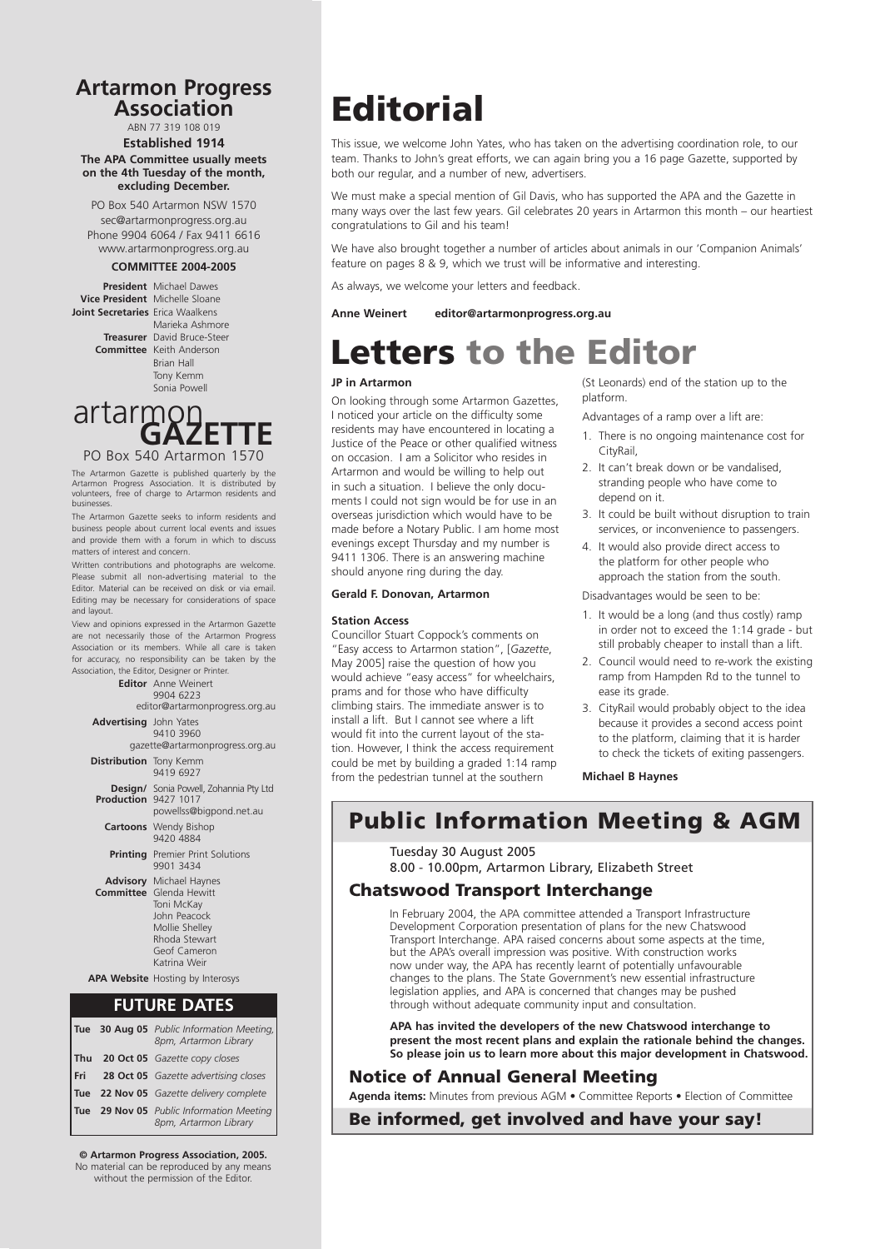## **Artarmon Progress Association Artarmon Progress Association**

ABN 77 319 108 019 ABN 77 319 108 019

**Established 1914 Established 1914 The APA Committee usually meets The APA Committee usually meets on the 4th Tuesday of the month, on the 4th Tuesday of the month, excluding December. excluding December.**

PO Box 540 Artarmon NSW 1570 PO Box 540 Artarmon NSW 1570 sec@artarmonprogress.org.au sec@artarmonprogress.org.au Phone 9904 6064 / Fax 9411 6616 Phone 9904 6064 / Fax 9411 6616 www.artarmonprogress.org.au www.artarmonprogress.org.au

#### **COMMITTEE 2004-2005 COMMITTEE 2004-2005**

**President** Michael Dawes **President** Michael Dawes **President** Michael Daw **Vice President** Michelle Sloane **Joint Secretaries** Erica Waalkens **Treasurer David Bruce-Steer Marieka Ashmore** 

**Treasurer** David Bruce-Steer **Committee** Keith Anderson Brian Hall Brian Hall Tony Kemm Tony Kemm Sonia Powell Sonia Powell

**GRAZETTE**<br>PO Box 540 Artarmon 1570 artarmon<br>GAZETTE

Artarmon Progress Association. It is distributed l volunteers, free of charge to Artarmon residents and volusinesses. Free of charge to Artarmon residents and  $\sim$ The Artarmon Gazette is published quarterly by the<br>Artarmon Progress Association. It is distributed by

The Artarmon Gazette seeks to inform residents and business people about current local events and issues and provide them with a forum in which to discuss matters of interest and concern.

Written contributions and photographs are welcome. Please submit all non-advertising material to the Editor. Material can be received on disk or via email. Editing may be necessary for considerations of space via email. Some minor editing may be necessary for  $\sim$ 

View and opinions expressed in the Artarmon Gazette are not necessarily those of the Artarmon Progress Association or its members. While all care is taken for accuracy, no responsibility can be taken by the Association, the Editor, Designer or Printer.



#### **FUTURE DATES**

|       | Tue 30 Aug 05 Public Information Meeting,<br>8pm, Artarmon Library |
|-------|--------------------------------------------------------------------|
|       | Thu 20 Oct 05 Gazette copy closes                                  |
| l Fri | 28 Oct 05 Gazette advertising closes                               |
|       | Tue 22 Nov 05 Gazette delivery complete                            |
|       | Tue 29 Nov 05 Public Information Meeting<br>8pm, Artarmon Library  |

 $\odot$  Artarmon Progress Association, 2005.

No material can be reproduced by any means without the permission of the Editor.

## **Editorial**

This issue, we welcome John Yates, who has taken on the advertising coordination role, to our team. Thanks to John's great efforts, we can again bring you a 16 page Gazette, supported by both our regular, and a number of new, advertisers.

We must make a special mention of Gil Davis, who has supported the APA and the Gazette in many ways over the last few years. Gil celebrates 20 years in Artarmon this month – our heartiest congratulations to Gil and his team!

We have also brought together a number of articles about animals in our 'Companion Animals' feature on pages 8 & 9, which we trust will be informative and interesting.

As always, we welcome your letters and feedback.

**Anne Weinert editor@artarmonprogress.org.au**

## Letters to the Editor

#### **JP in Artarmon**

On looking through some Artarmon Gazettes, I noticed your article on the difficulty some residents may have encountered in locating a Justice of the Peace or other qualified witness on occasion. I am a Solicitor who resides in Artarmon and would be willing to help out in such a situation. I believe the only documents I could not sign would be for use in an overseas jurisdiction which would have to be made before a Notary Public. I am home most evenings except Thursday and my number is 9411 1306. There is an answering machine should anyone ring during the day.

#### **Gerald F. Donovan, Artarmon**

#### **Station Access**

Councillor Stuart Coppock's comments on "Easy access to Artarmon station", [*Gazette*, May 2005] raise the question of how you would achieve "easy access" for wheelchairs, prams and for those who have difficulty climbing stairs. The immediate answer is to install a lift. But I cannot see where a lift would fit into the current layout of the station. However, I think the access requirement could be met by building a graded 1:14 ramp from the pedestrian tunnel at the southern

(St Leonards) end of the station up to the platform.

Advantages of a ramp over a lift are:

- 1. There is no ongoing maintenance cost for **CityRail**
- 2. It can't break down or be vandalised, stranding people who have come to depend on it.
- 3. It could be built without disruption to train services, or inconvenience to passengers.
- 4. It would also provide direct access to the platform for other people who approach the station from the south.

Disadvantages would be seen to be:

- 1. It would be a long (and thus costly) ramp in order not to exceed the 1:14 grade - but still probably cheaper to install than a lift.
- 2. Council would need to re-work the existing ramp from Hampden Rd to the tunnel to ease its grade.
- 3. CityRail would probably object to the idea because it provides a second access point to the platform, claiming that it is harder to check the tickets of exiting passengers.

**Michael B Haynes**

Public Information Meeting & AGM

Tuesday 30 August 2005

8.00 - 10.00pm, Artarmon Library, Elizabeth Street

#### Chatswood Transport Interchange

In February 2004, the APA committee attended a Transport Infrastructure Development Corporation presentation of plans for the new Chatswood Transport Interchange. APA raised concerns about some aspects at the time, but the APA's overall impression was positive. With construction works now under way, the APA has recently learnt of potentially unfavourable changes to the plans. The State Government's new essential infrastructure legislation applies, and APA is concerned that changes may be pushed through without adequate community input and consultation.

**APA has invited the developers of the new Chatswood interchange to present the most recent plans and explain the rationale behind the changes. So please join us to learn more about this major development in Chatswood.**

#### Notice of Annual General Meeting

**Agenda items:** Minutes from previous AGM • Committee Reports • Election of Committee

Be informed, get involved and have your say!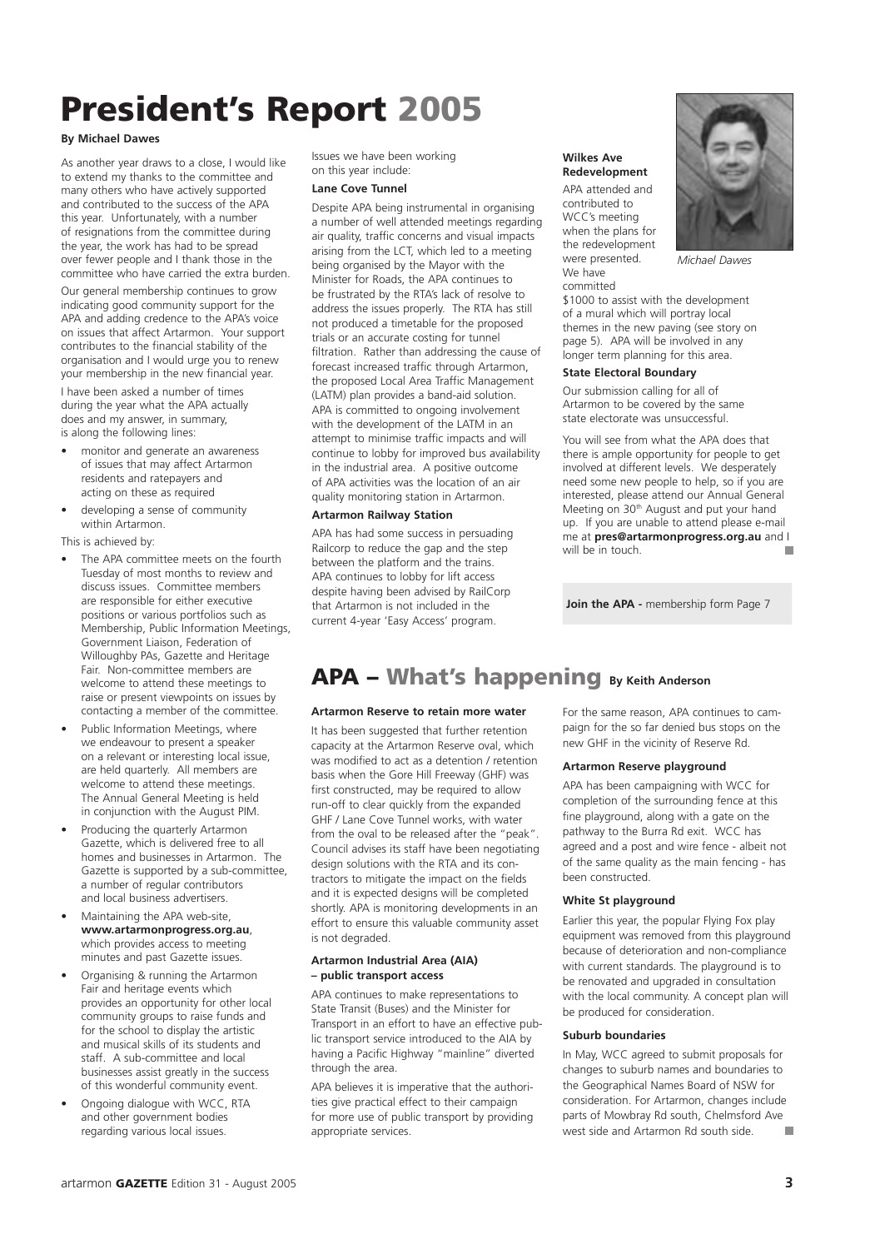## President's Report 2005

#### **By Michael Dawes**

As another year draws to a close, I would like to extend my thanks to the committee and many others who have actively supported and contributed to the success of the APA this year. Unfortunately, with a number of resignations from the committee during the year, the work has had to be spread over fewer people and I thank those in the committee who have carried the extra burden. Our general membership continues to grow indicating good community support for the APA and adding credence to the APA's voice on issues that affect Artarmon. Your support contributes to the financial stability of the

your membership in the new financial year. I have been asked a number of times during the year what the APA actually does and my answer, in summary, is along the following lines:

organisation and I would urge you to renew

- monitor and generate an awareness of issues that may affect Artarmon residents and ratepayers and acting on these as required
- developing a sense of community within Artarmon.

This is achieved by:

- The APA committee meets on the fourth Tuesday of most months to review and discuss issues. Committee members are responsible for either executive positions or various portfolios such as Membership, Public Information Meetings, Government Liaison, Federation of Willoughby PAs, Gazette and Heritage Fair. Non-committee members are welcome to attend these meetings to raise or present viewpoints on issues by contacting a member of the committee.
- Public Information Meetings, where we endeavour to present a speaker on a relevant or interesting local issue, are held quarterly. All members are welcome to attend these meetings. The Annual General Meeting is held in conjunction with the August PIM.
- Producing the quarterly Artarmon Gazette, which is delivered free to all homes and businesses in Artarmon. The Gazette is supported by a sub-committee, a number of regular contributors and local business advertisers.
- Maintaining the APA web-site, **www.artarmonprogress.org.au**, which provides access to meeting minutes and past Gazette issues.
- Organising & running the Artarmon Fair and heritage events which provides an opportunity for other local community groups to raise funds and for the school to display the artistic and musical skills of its students and staff. A sub-committee and local businesses assist greatly in the success of this wonderful community event.
- Ongoing dialogue with WCC, RTA and other government bodies regarding various local issues.

Issues we have been working on this year include:

#### **Lane Cove Tunnel**

Despite APA being instrumental in organising a number of well attended meetings regarding air quality, traffic concerns and visual impacts arising from the LCT, which led to a meeting being organised by the Mayor with the Minister for Roads, the APA continues to be frustrated by the RTA's lack of resolve to address the issues properly. The RTA has still not produced a timetable for the proposed trials or an accurate costing for tunnel filtration. Rather than addressing the cause of forecast increased traffic through Artarmon, the proposed Local Area Traffic Management (LATM) plan provides a band-aid solution. APA is committed to ongoing involvement with the development of the LATM in an attempt to minimise traffic impacts and will continue to lobby for improved bus availability in the industrial area. A positive outcome of APA activities was the location of an air quality monitoring station in Artarmon.

#### **Artarmon Railway Station**

APA has had some success in persuading Railcorp to reduce the gap and the step between the platform and the trains. APA continues to lobby for lift access despite having been advised by RailCorp that Artarmon is not included in the current 4-year 'Easy Access' program.



*Michael Dawes*

committed \$1000 to assist with the development of a mural which will portray local themes in the new paving (see story on page 5). APA will be involved in any longer term planning for this area.

#### **State Electoral Boundary**

**Wilkes Ave Redevelopment** APA attended and contributed to WCC's meeting

were presented. We have

Our submission calling for all of Artarmon to be covered by the same state electorate was unsuccessful.

You will see from what the APA does that there is ample opportunity for people to get involved at different levels. We desperately need some new people to help, so if you are interested, please attend our Annual General Meeting on 30<sup>th</sup> August and put your hand up. If you are unable to attend please e-mail me at **pres@artarmonprogress.org.au** and I will be in touch.

**Join the APA -** membership form Page 7

### APA – What's happening **By Keith Anderson**

#### **Artarmon Reserve to retain more water**

It has been suggested that further retention capacity at the Artarmon Reserve oval, which was modified to act as a detention / retention basis when the Gore Hill Freeway (GHF) was first constructed, may be required to allow run-off to clear quickly from the expanded GHF / Lane Cove Tunnel works, with water from the oval to be released after the "peak". Council advises its staff have been negotiating design solutions with the RTA and its contractors to mitigate the impact on the fields and it is expected designs will be completed shortly. APA is monitoring developments in an effort to ensure this valuable community asset is not degraded.

#### **Artarmon Industrial Area (AIA) – public transport access**

APA continues to make representations to State Transit (Buses) and the Minister for Transport in an effort to have an effective public transport service introduced to the AIA by having a Pacific Highway "mainline" diverted through the area.

APA believes it is imperative that the authorities give practical effect to their campaign for more use of public transport by providing appropriate services.

For the same reason, APA continues to campaign for the so far denied bus stops on the new GHF in the vicinity of Reserve Rd.

#### **Artarmon Reserve playground**

APA has been campaigning with WCC for completion of the surrounding fence at this fine playground, along with a gate on the pathway to the Burra Rd exit. WCC has agreed and a post and wire fence - albeit not of the same quality as the main fencing - has been constructed.

#### **White St playground**

Earlier this year, the popular Flying Fox play equipment was removed from this playground because of deterioration and non-compliance with current standards. The playground is to be renovated and upgraded in consultation with the local community. A concept plan will be produced for consideration.

#### **Suburb boundaries**

In May, WCC agreed to submit proposals for changes to suburb names and boundaries to the Geographical Names Board of NSW for consideration. For Artarmon, changes include parts of Mowbray Rd south, Chelmsford Ave west side and Artarmon Rd south side.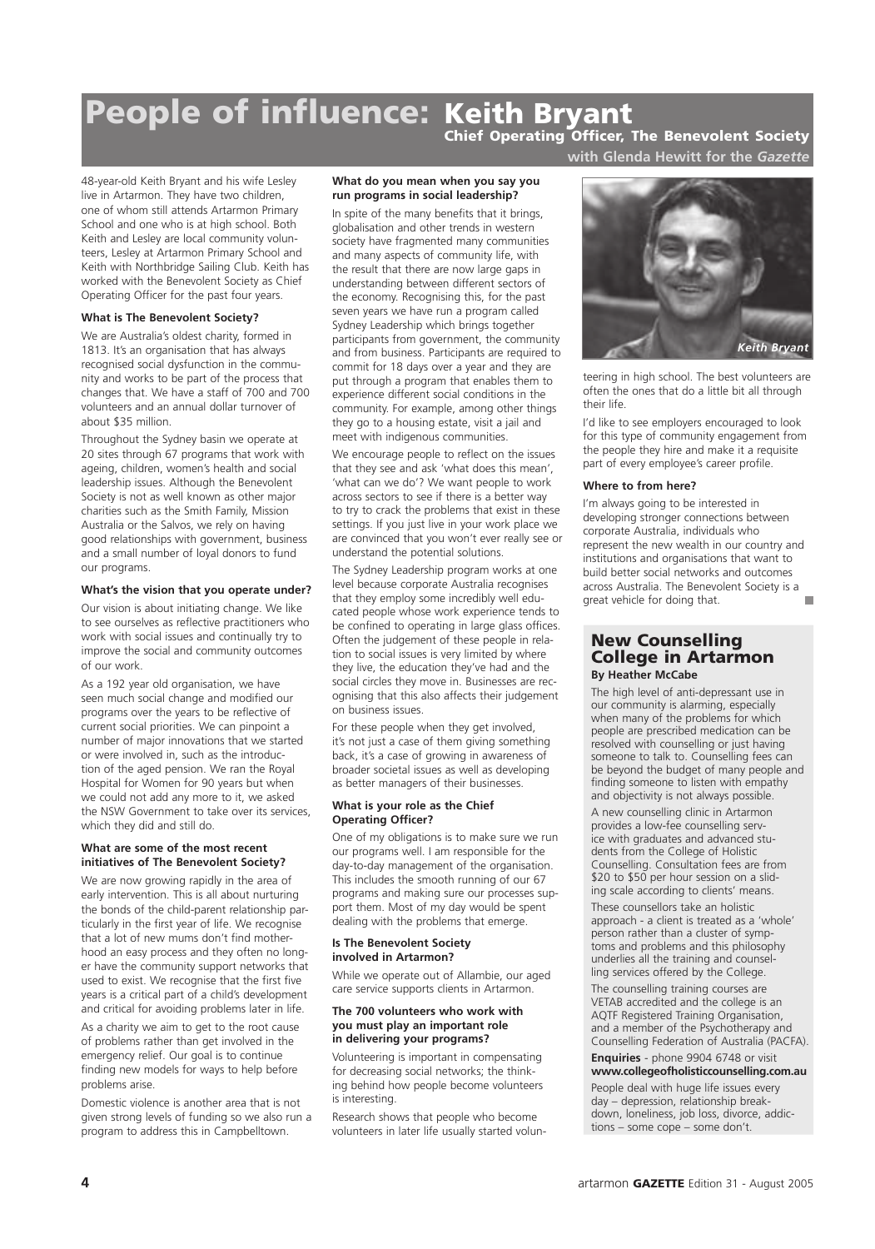## People of influence: Keith Bryant

Chief Operating Officer, The Benevolent Society **with Glenda Hewitt for the** *Gazette*

48-year-old Keith Bryant and his wife Lesley live in Artarmon. They have two children, one of whom still attends Artarmon Primary School and one who is at high school. Both Keith and Lesley are local community volunteers, Lesley at Artarmon Primary School and Keith with Northbridge Sailing Club. Keith has worked with the Benevolent Society as Chief Operating Officer for the past four years.

#### **What is The Benevolent Society?**

We are Australia's oldest charity, formed in 1813. It's an organisation that has always recognised social dysfunction in the community and works to be part of the process that changes that. We have a staff of 700 and 700 volunteers and an annual dollar turnover of about \$35 million.

Throughout the Sydney basin we operate at 20 sites through 67 programs that work with ageing, children, women's health and social leadership issues. Although the Benevolent Society is not as well known as other major charities such as the Smith Family, Mission Australia or the Salvos, we rely on having good relationships with government, business and a small number of loyal donors to fund our programs.

#### **What's the vision that you operate under?**

Our vision is about initiating change. We like to see ourselves as reflective practitioners who work with social issues and continually try to improve the social and community outcomes of our work.

As a 192 year old organisation, we have seen much social change and modified our programs over the years to be reflective of current social priorities. We can pinpoint a number of major innovations that we started or were involved in, such as the introduction of the aged pension. We ran the Royal Hospital for Women for 90 years but when we could not add any more to it, we asked the NSW Government to take over its services, which they did and still do.

#### **What are some of the most recent initiatives of The Benevolent Society?**

We are now growing rapidly in the area of early intervention. This is all about nurturing the bonds of the child-parent relationship particularly in the first year of life. We recognise that a lot of new mums don't find motherhood an easy process and they often no longer have the community support networks that used to exist. We recognise that the first five years is a critical part of a child's development and critical for avoiding problems later in life.

As a charity we aim to get to the root cause of problems rather than get involved in the emergency relief. Our goal is to continue finding new models for ways to help before problems arise.

Domestic violence is another area that is not given strong levels of funding so we also run a program to address this in Campbelltown.

#### **What do you mean when you say you run programs in social leadership?**

In spite of the many benefits that it brings, globalisation and other trends in western society have fragmented many communities and many aspects of community life, with the result that there are now large gaps in understanding between different sectors of the economy. Recognising this, for the past seven years we have run a program called Sydney Leadership which brings together participants from government, the community and from business. Participants are required to commit for 18 days over a year and they are put through a program that enables them to experience different social conditions in the community. For example, among other things they go to a housing estate, visit a jail and meet with indigenous communities.

We encourage people to reflect on the issues that they see and ask 'what does this mean', 'what can we do'? We want people to work across sectors to see if there is a better way to try to crack the problems that exist in these settings. If you just live in your work place we are convinced that you won't ever really see or understand the potential solutions.

The Sydney Leadership program works at one level because corporate Australia recognises that they employ some incredibly well educated people whose work experience tends to be confined to operating in large glass offices. Often the judgement of these people in relation to social issues is very limited by where they live, the education they've had and the social circles they move in. Businesses are recognising that this also affects their judgement on business issues.

For these people when they get involved, it's not just a case of them giving something back, it's a case of growing in awareness of broader societal issues as well as developing as better managers of their businesses.

#### **What is your role as the Chief Operating Officer?**

One of my obligations is to make sure we run our programs well. I am responsible for the day-to-day management of the organisation. This includes the smooth running of our 67 programs and making sure our processes support them. Most of my day would be spent dealing with the problems that emerge.

#### **Is The Benevolent Society involved in Artarmon?**

While we operate out of Allambie, our aged care service supports clients in Artarmon.

#### **The 700 volunteers who work with you must play an important role in delivering your programs?**

Volunteering is important in compensating for decreasing social networks; the thinking behind how people become volunteers is interesting.

Research shows that people who become volunteers in later life usually started volun-



teering in high school. The best volunteers are often the ones that do a little bit all through their life.

I'd like to see employers encouraged to look for this type of community engagement from the people they hire and make it a requisite part of every employee's career profile.

#### **Where to from here?**

I'm always going to be interested in developing stronger connections between corporate Australia, individuals who represent the new wealth in our country and institutions and organisations that want to build better social networks and outcomes across Australia. The Benevolent Society is a great vehicle for doing that.

#### New Counselling College in Artarmon **By Heather McCabe**

The high level of anti-depressant use in our community is alarming, especially when many of the problems for which people are prescribed medication can be resolved with counselling or just having someone to talk to. Counselling fees can be beyond the budget of many people and finding someone to listen with empathy and objectivity is not always possible.

A new counselling clinic in Artarmon provides a low-fee counselling service with graduates and advanced students from the College of Holistic Counselling. Consultation fees are from \$20 to \$50 per hour session on a sliding scale according to clients' means. These counsellors take an holistic approach - a client is treated as a 'whole' person rather than a cluster of symptoms and problems and this philosophy underlies all the training and counselling services offered by the College.

The counselling training courses are VETAB accredited and the college is an AQTF Registered Training Organisation, and a member of the Psychotherapy and Counselling Federation of Australia (PACFA).

#### **Enquiries** - phone 9904 6748 or visit **www.collegeofholisticcounselling.com.au**

People deal with huge life issues every day – depression, relationship breakdown, loneliness, job loss, divorce, addictions – some cope – some don't.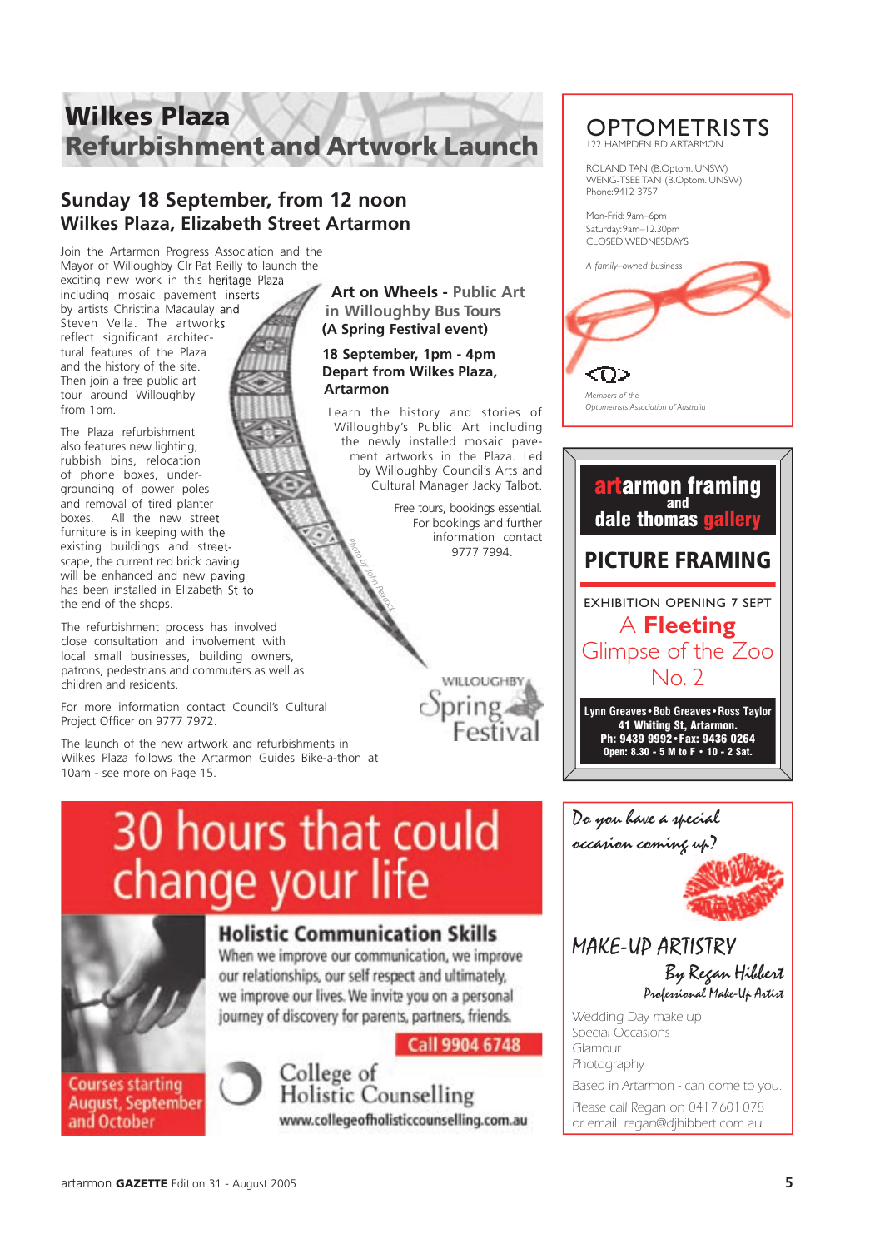## Wilkes Plaza Refurbishment and Artwork Launch

### **Sunday 18 September, from 12 noon Wilkes Plaza, Elizabeth Street Artarmon**

Join the Artarmon Progress Association and the Mayor of Willoughby CIr Pat Reilly to launch the exciting new work in this heritage Plaza including mosaic pavement inserts including mosaic pavement by artists Christina Macaulay and

Steven Vella. The artworks Steven Vella. The reflect significant architectural features of the Plaza and the history of the site. Then join a free public art tour around Willoughby from 1pm.

The Plaza refurbishment also features new lighting, rubbish bins, relocation of phone boxes, undergrounding of power poles and removal of tired planter boxes. All the new street furniture is in keeping with the existing buildings and streetscape, the current red brick paving will be enhanced and new paving has been installed in Elizabeth St to the end of the shops. boxes. All the new street<br>furniture is in keeping with the<br>existing buildings and stree

The refurbishment process has involved close consultation and involvement with local small businesses, building owners, patrons, pedestrians and commuters as well as children and residents.

For more information contact Council's Cultural Project Officer on 9777 7972.

The launch of the new artwork and refurbishments in Wilkes Plaza follows the Artarmon Guides Bike-a-thon at 10am - see more on Page 15.

**Art on Wheels - Public Art in Willoughby Bus Tours (A Spring Festival event)**

#### **18 September, 1pm - 4pm Depart from Wilkes Plaza, Artarmon**

Learn the history and stories of Willoughby's Public Art including the newly installed mosaic pavement artworks in the Plaza. Led by Willoughby Council's Arts and Cultural Manager Jacky Talbot.

Free tours, bookings essential. For bookings and further information contact<br>9777 7994 Photo By John Peacock<br>Photo by John Peacock<br>Photo by John Peacock<br>Photo by John Peacock<br>Photo by John Peacock



#### **OPTOMETRISTS** 122 HAMPDEN RD ARTARMON

ROLAND TAN (B.Optom. UNSW) WENG-TSEE TAN (B.Optom. UNSW) Phone: 9412 3757

Mon-Frid: 9am–6pm Saturday: 9am–12.30pm CLOSED WEDNESDAYS





## 30 hours that could change your life



### **Holistic Communication Skills**

When we improve our communication, we improve our relationships, our self respect and ultimately, we improve our lives. We invite you on a personal journey of discovery for parents, partners, friends.

Call 9904 6748

**Courses starting August, September** and October



College of **Holistic Counselling** www.collegeofholisticcounselling.com.au Do you have a special occasion coming up?

### MAKE-UP ARTISTRY By Regan Hibbert

Professional Make-Up Artist

Wedding Day make up Special Occasions Glamour Photography

Based in Artarmon - can come to you.

Please call Regan on 0417 601 078 or email: regan@djhibbert.com.au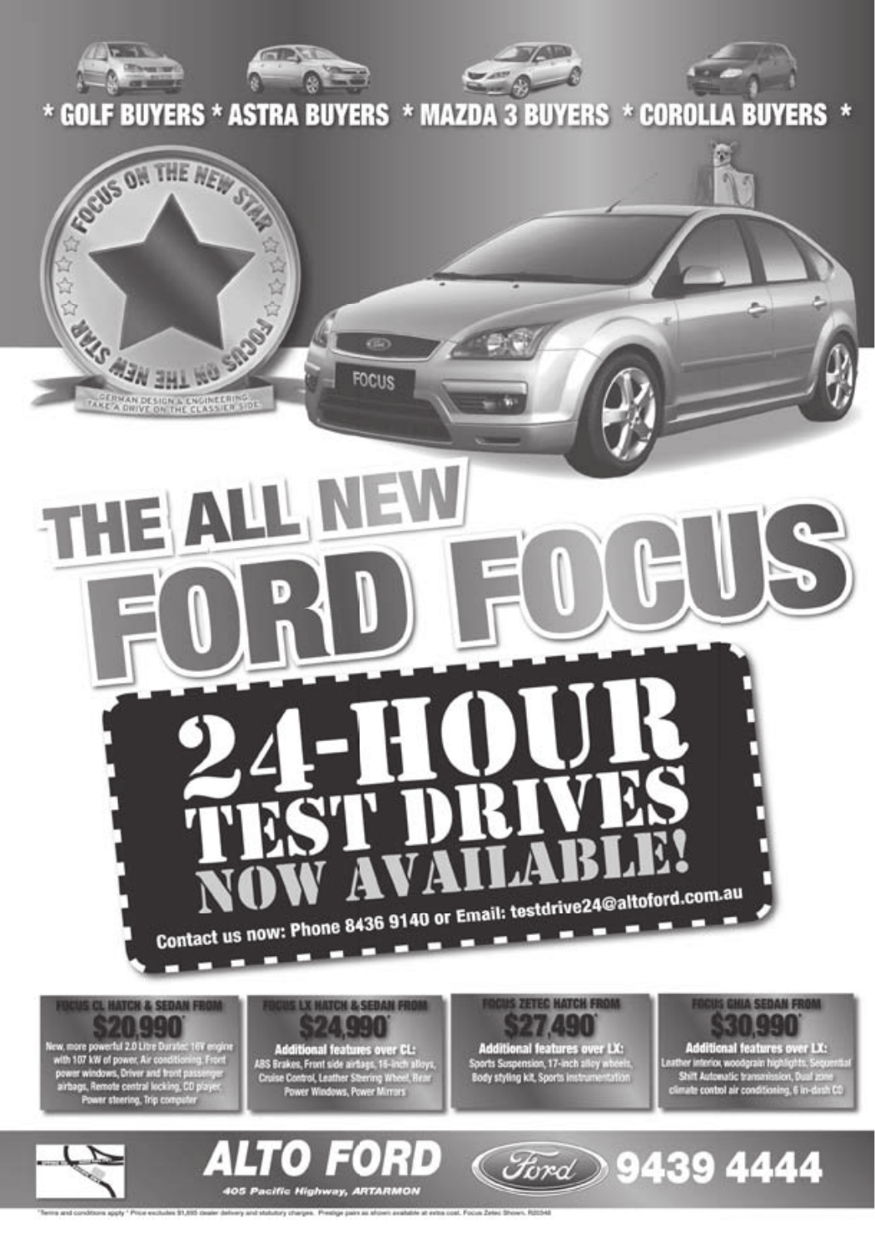

able at extra cost. Focus Zeted dratatutory charges. Preshpe paint as at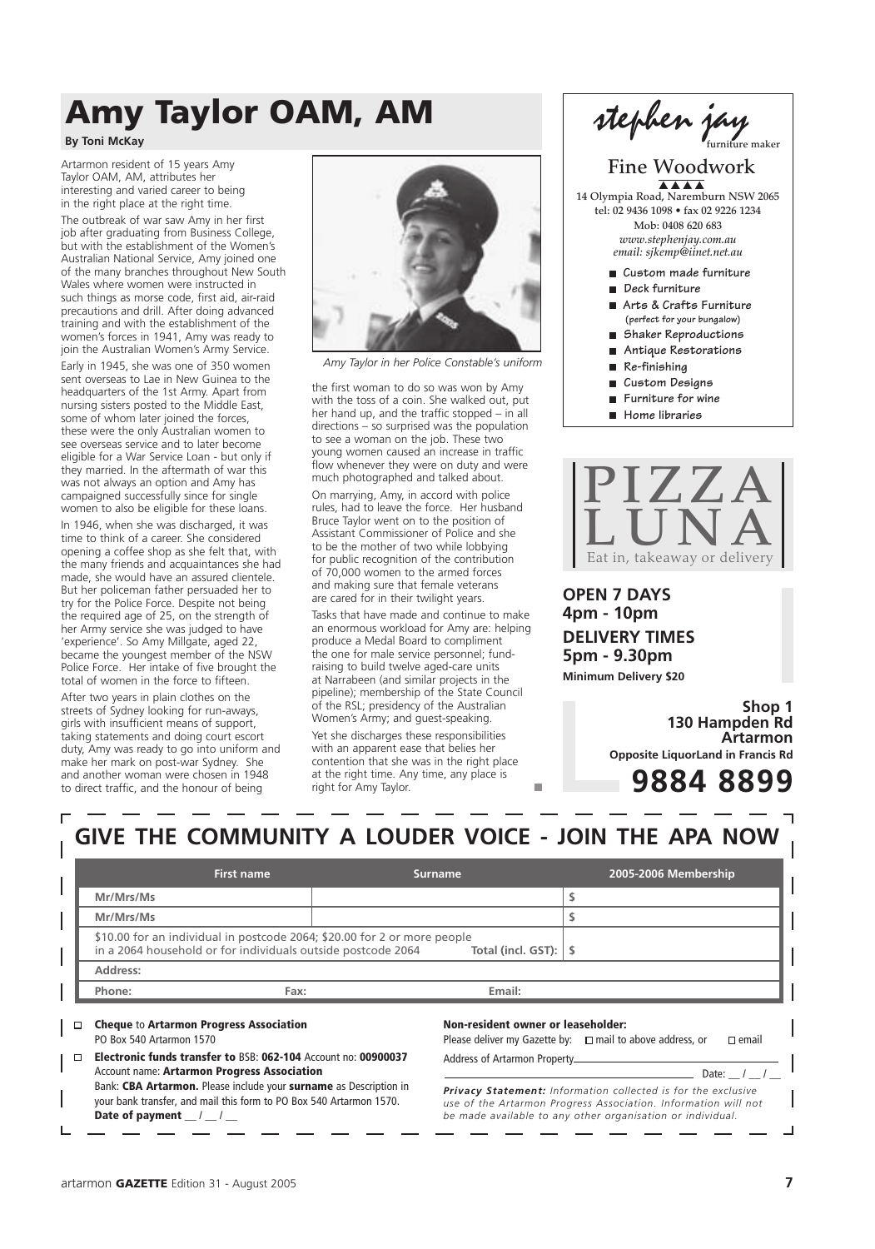## Amy Taylor OAM, AM

#### **By Toni McKay**

Artarmon resident of 15 years Amy Taylor OAM, AM, attributes her interesting and varied career to being in the right place at the right time.

The outbreak of war saw Amy in her first job after graduating from Business College, but with the establishment of the Women's Australian National Service, Amy joined one of the many branches throughout New South Wales where women were instructed in such things as morse code, first aid, air-raid precautions and drill. After doing advanced training and with the establishment of the women's forces in 1941, Amy was ready to join the Australian Women's Army Service. Early in 1945, she was one of 350 women sent overseas to Lae in New Guinea to the headquarters of the 1st Army. Apart from nursing sisters posted to the Middle East, some of whom later joined the forces, these were the only Australian women to see overseas service and to later become eligible for a War Service Loan - but only if they married. In the aftermath of war this was not always an option and Amy has campaigned successfully since for single women to also be eligible for these loans.

In 1946, when she was discharged, it was time to think of a career. She considered opening a coffee shop as she felt that, with the many friends and acquaintances she had made, she would have an assured clientele. But her policeman father persuaded her to try for the Police Force. Despite not being the required age of 25, on the strength of her Army service she was judged to have 'experience'. So Amy Millgate, aged 22, became the youngest member of the NSW Police Force. Her intake of five brought the total of women in the force to fifteen.

After two years in plain clothes on the streets of Sydney looking for run-aways, girls with insufficient means of support, taking statements and doing court escort duty, Amy was ready to go into uniform and make her mark on post-war Sydney. She and another woman were chosen in 1948 to direct traffic, and the honour of being



*Amy Taylor in her Police Constable's uniform*

the first woman to do so was won by Amy with the toss of a coin. She walked out, put her hand up, and the traffic stopped – in all directions – so surprised was the population to see a woman on the job. These two young women caused an increase in traffic flow whenever they were on duty and were much photographed and talked about.

On marrying, Amy, in accord with police rules, had to leave the force. Her husband Bruce Taylor went on to the position of Assistant Commissioner of Police and she to be the mother of two while lobbying for public recognition of the contribution of 70,000 women to the armed forces and making sure that female veterans are cared for in their twilight years.

Tasks that have made and continue to make an enormous workload for Amy are: helping produce a Medal Board to compliment the one for male service personnel; fundraising to build twelve aged-care units at Narrabeen (and similar projects in the pipeline); membership of the State Council of the RSL; presidency of the Australian Women's Army; and guest-speaking. Yet she discharges these responsibilities with an apparent ease that belies her contention that she was in the right place at the right time. Any time, any place is right for Amy Taylor.



- **Furniture for wine**
- **Home libraries**



**OPEN 7 DAYS 4pm - 10pm DELIVERY TIMES 5pm - 9.30pm Minimum Delivery \$20**

> **Shop 1 130 Hampden Rd Artarmon Opposite LiquorLand in Francis Rd**

### **9884 8899**

### **GIVE THE COMMUNITY A LOUDER VOICE - JOIN THE APA NOW**

|                                                                                                                                                                     | First name                                                     | <b>Surname</b>                     | 2005-2006 Membership                                                              |
|---------------------------------------------------------------------------------------------------------------------------------------------------------------------|----------------------------------------------------------------|------------------------------------|-----------------------------------------------------------------------------------|
| Mr/Mrs/Ms                                                                                                                                                           |                                                                |                                    |                                                                                   |
| Mr/Mrs/Ms                                                                                                                                                           |                                                                |                                    |                                                                                   |
| \$10.00 for an individual in postcode 2064; \$20.00 for 2 or more people<br>in a 2064 household or for individuals outside postcode 2064<br>Total (incl. GST):   \$ |                                                                |                                    |                                                                                   |
| Address:                                                                                                                                                            |                                                                |                                    |                                                                                   |
| Phone:                                                                                                                                                              | Fax:                                                           | Email:                             |                                                                                   |
| <b>Cheque to Artarmon Progress Association</b><br>PO Box 540 Artarmon 1570                                                                                          |                                                                | Non-resident owner or leaseholder: | Please deliver my Gazette by: $\Box$ mail to above address, or<br>$\square$ email |
| П.<br>Account name: Artarmon Progress Association                                                                                                                   | Electronic funds transfer to BSB: 062-104 Account no: 00900037 | Address of Artarmon Property       | Date:                                                                             |

*Privacy Statement: Information collected is for the exclusive use of the Artarmon Progress Association. Information will not be made available to any other organisation or individual.*

Date of payment  $\frac{1}{2}$  /

Bank: CBA Artarmon. Please include your surname as Description in your bank transfer, and mail this form to PO Box 540 Artarmon 1570.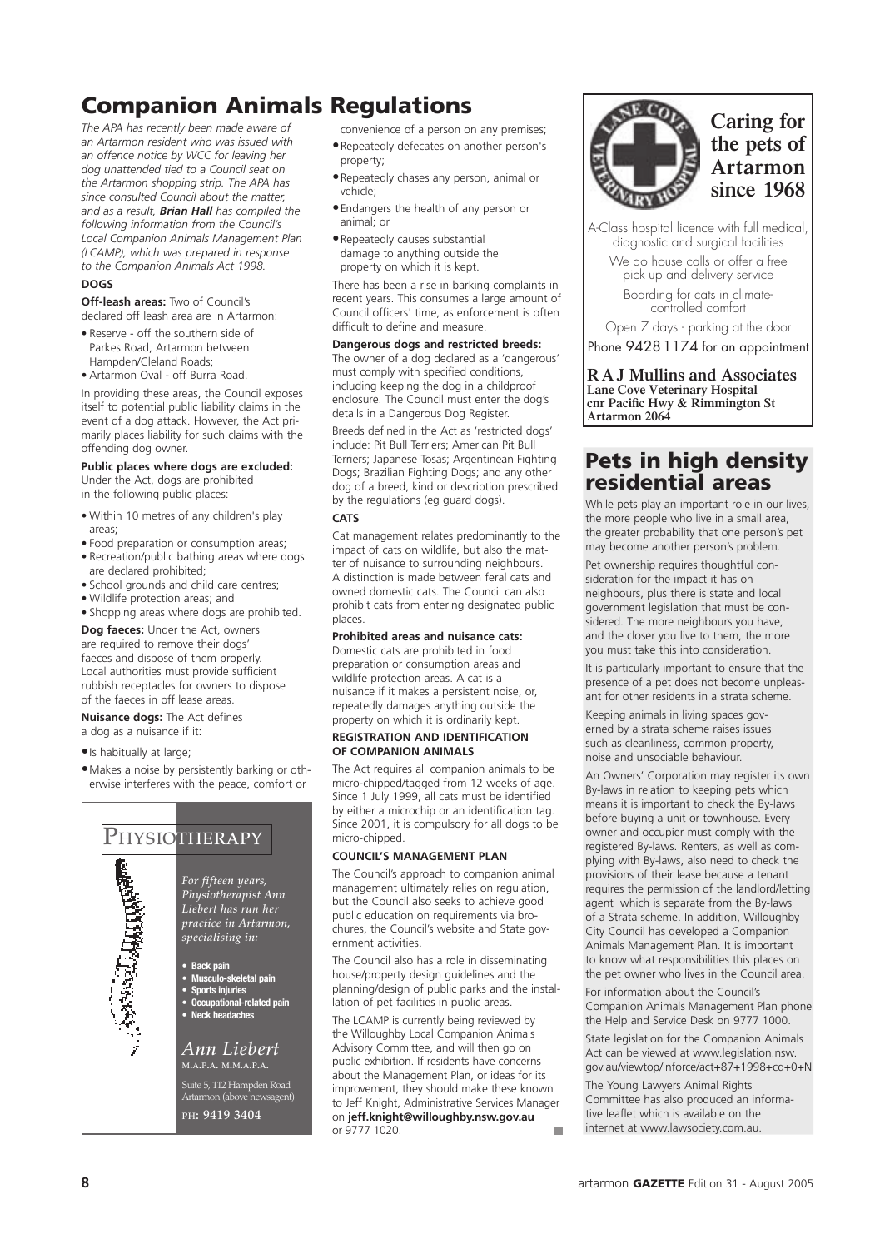## Companion Animals Regulations

*The APA has recently been made aware of an Artarmon resident who was issued with an offence notice by WCC for leaving her dog unattended tied to a Council seat on the Artarmon shopping strip. The APA has since consulted Council about the matter, and as a result, Brian Hall has compiled the following information from the Council's Local Companion Animals Management Plan (LCAMP), which was prepared in response to the Companion Animals Act 1998.*

#### **DOGS**

**Off-leash areas:** Two of Council's declared off leash area are in Artarmon:

- Reserve off the southern side of Parkes Road, Artarmon between Hampden/Cleland Roads;
- Artarmon Oval off Burra Road.

In providing these areas, the Council exposes itself to potential public liability claims in the event of a dog attack. However, the Act primarily places liability for such claims with the offending dog owner.

#### **Public places where dogs are excluded:**

Under the Act, dogs are prohibited in the following public places:

- Within 10 metres of any children's play areas;
- Food preparation or consumption areas; • Recreation/public bathing areas where dogs
- are declared prohibited;
- School grounds and child care centres; • Wildlife protection areas; and
- Shopping areas where dogs are prohibited.

**Dog faeces:** Under the Act, owners are required to remove their dogs' faeces and dispose of them properly. Local authorities must provide sufficient rubbish receptacles for owners to dispose of the faeces in off lease areas.

#### **Nuisance dogs:** The Act defines

a dog as a nuisance if it:

• Is habitually at large;

• Makes a noise by persistently barking or otherwise interferes with the peace, comfort or



convenience of a person on any premises; • Repeatedly defecates on another person's property;

- Repeatedly chases any person, animal or vehicle;
- Endangers the health of any person or animal; or
- Repeatedly causes substantial damage to anything outside the property on which it is kept.

There has been a rise in barking complaints in recent years. This consumes a large amount of Council officers' time, as enforcement is often difficult to define and measure.

#### **Dangerous dogs and restricted breeds:**

The owner of a dog declared as a 'dangerous' must comply with specified conditions, including keeping the dog in a childproof enclosure. The Council must enter the dog's details in a Dangerous Dog Register.

Breeds defined in the Act as 'restricted dogs' include: Pit Bull Terriers; American Pit Bull Terriers; Japanese Tosas; Argentinean Fighting Dogs; Brazilian Fighting Dogs; and any other dog of a breed, kind or description prescribed by the regulations (eg guard dogs).

#### **CATS**

Cat management relates predominantly to the impact of cats on wildlife, but also the matter of nuisance to surrounding neighbours. A distinction is made between feral cats and owned domestic cats. The Council can also prohibit cats from entering designated public places.

#### **Prohibited areas and nuisance cats:**

Domestic cats are prohibited in food preparation or consumption areas and wildlife protection areas. A cat is a nuisance if it makes a persistent noise, or, repeatedly damages anything outside the property on which it is ordinarily kept.

#### **REGISTRATION AND IDENTIFICATION OF COMPANION ANIMALS**

The Act requires all companion animals to be micro-chipped/tagged from 12 weeks of age. Since 1 July 1999, all cats must be identified by either a microchip or an identification tag. Since 2001, it is compulsory for all dogs to be micro-chipped.

#### **COUNCIL'S MANAGEMENT PLAN**

The Council's approach to companion animal management ultimately relies on regulation, but the Council also seeks to achieve good public education on requirements via brochures, the Council's website and State government activities.

The Council also has a role in disseminating house/property design guidelines and the planning/design of public parks and the installation of pet facilities in public areas.

The LCAMP is currently being reviewed by the Willoughby Local Companion Animals Advisory Committee, and will then go on public exhibition. If residents have concerns about the Management Plan, or ideas for its improvement, they should make these known to Jeff Knight, Administrative Services Manager on **jeff.knight@willoughby.nsw.gov.au** or 9777 1020.



**Caring for the pets of Artarmon since 1968**

A-Class hospital licence with full medical, diagnostic and surgical facilities We do house calls or offer a free pick up and delivery service

Boarding for cats in climatecontrolled comfort

Open 7 days - parking at the door Phone 9428 1174 for an appointment

**R A J Mullins and Associates Lane Cove Veterinary Hospital cnr Pacific Hwy & Rimmington St Artarmon 2064**

#### Pets in high density residential areas

While pets play an important role in our lives, the more people who live in a small area, the greater probability that one person's pet may become another person's problem.

Pet ownership requires thoughtful consideration for the impact it has on neighbours, plus there is state and local government legislation that must be considered. The more neighbours you have, and the closer you live to them, the more you must take this into consideration.

It is particularly important to ensure that the presence of a pet does not become unpleasant for other residents in a strata scheme.

Keeping animals in living spaces governed by a strata scheme raises issues such as cleanliness, common property, noise and unsociable behaviour.

An Owners' Corporation may register its own By-laws in relation to keeping pets which means it is important to check the By-laws before buying a unit or townhouse. Every owner and occupier must comply with the registered By-laws. Renters, as well as complying with By-laws, also need to check the provisions of their lease because a tenant requires the permission of the landlord/letting agent which is separate from the By-laws of a Strata scheme. In addition, Willoughby City Council has developed a Companion Animals Management Plan. It is important to know what responsibilities this places on the pet owner who lives in the Council area.

For information about the Council's Companion Animals Management Plan phone the Help and Service Desk on 9777 1000.

State legislation for the Companion Animals Act can be viewed at www.legislation.nsw. gov.au/viewtop/inforce/act+87+1998+cd+0+N

The Young Lawyers Animal Rights Committee has also produced an informative leaflet which is available on the internet at www.lawsociety.com.au.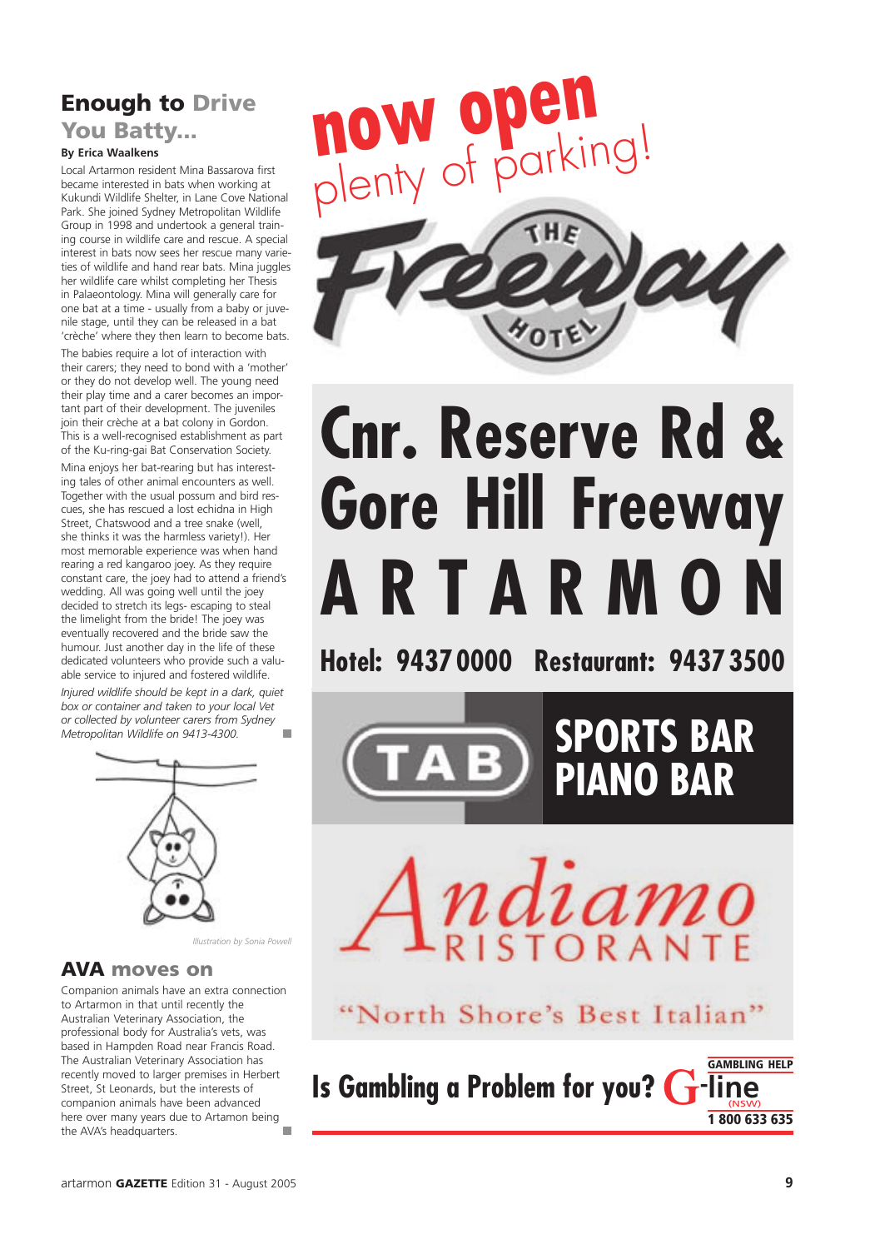## Enough to Drive

### You Batty...

#### **By Erica Waalkens**

Local Artarmon resident Mina Bassarova first became interested in bats when working at Kukundi Wildlife Shelter, in Lane Cove National Park. She joined Sydney Metropolitan Wildlife Group in 1998 and undertook a general training course in wildlife care and rescue. A special interest in bats now sees her rescue many varieties of wildlife and hand rear bats. Mina juggles her wildlife care whilst completing her Thesis in Palaeontology. Mina will generally care for one bat at a time - usually from a baby or juvenile stage, until they can be released in a bat 'crèche' where they then learn to become bats.

The babies require a lot of interaction with their carers; they need to bond with a 'mother' or they do not develop well. The young need their play time and a carer becomes an important part of their development. The juveniles join their crèche at a bat colony in Gordon. This is a well-recognised establishment as part of the Ku-ring-gai Bat Conservation Society.

Mina enjoys her bat-rearing but has interesting tales of other animal encounters as well. Together with the usual possum and bird rescues, she has rescued a lost echidna in High Street, Chatswood and a tree snake (well, she thinks it was the harmless variety!). Her most memorable experience was when hand rearing a red kangaroo joey. As they require constant care, the joey had to attend a friend's wedding. All was going well until the joey decided to stretch its legs- escaping to steal the limelight from the bride! The joey was eventually recovered and the bride saw the humour. Just another day in the life of these dedicated volunteers who provide such a valuable service to injured and fostered wildlife.

*Injured wildlife should be kept in a dark, quiet box or container and taken to your local Vet or collected by volunteer carers from Sydney Metropolitan Wildlife on 9413-4300.* ÷,



*Illustration by Sonia Powell*

#### AVA moves on

Companion animals have an extra connection to Artarmon in that until recently the Australian Veterinary Association, the professional body for Australia's vets, was based in Hampden Road near Francis Road. The Australian Veterinary Association has recently moved to larger premises in Herbert Street, St Leonards, but the interests of companion animals have been advanced here over many years due to Artamon being the AVA's headquarters. ٠



# **Cnr. Reserve Rd & Gore Hill Freeway A R T A R M O N**

**Hotel: 9437 0000 Restaurant: 9437 3500**





"North Shore's Best Italian"

**Is Gambling a Problem for you? G-**GAMBLING HELP **line** (NSW) 1 800 633 635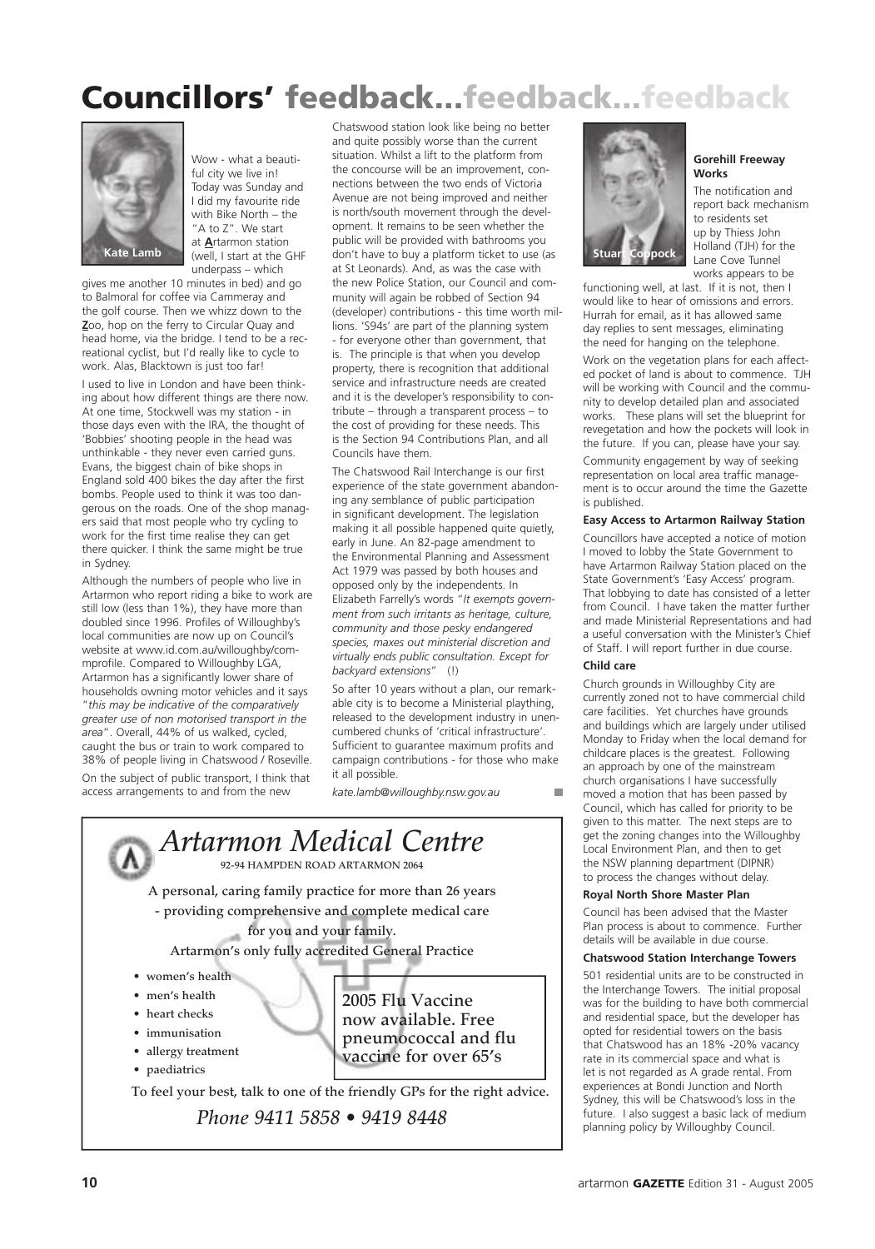## Councillors' feedback...feedback...feedback



Wow - what a beautiful city we live in! Today was Sunday and I did my favourite ride with Bike North – the "A to Z". We start at **A**rtarmon station (well, I start at the GHF underpass – which

gives me another 10 minutes in bed) and go to Balmoral for coffee via Cammeray and the golf course. Then we whizz down to the **Z**oo, hop on the ferry to Circular Quay and head home, via the bridge. I tend to be a recreational cyclist, but I'd really like to cycle to work. Alas, Blacktown is just too far!

I used to live in London and have been thinking about how different things are there now. At one time, Stockwell was my station - in those days even with the IRA, the thought of 'Bobbies' shooting people in the head was unthinkable - they never even carried guns. Evans, the biggest chain of bike shops in England sold 400 bikes the day after the first bombs. People used to think it was too dangerous on the roads. One of the shop managers said that most people who try cycling to work for the first time realise they can get there quicker. I think the same might be true in Sydney.

Although the numbers of people who live in Artarmon who report riding a bike to work are still low (less than 1%), they have more than doubled since 1996. Profiles of Willoughby's local communities are now up on Council's website at www.id.com.au/willoughby/commprofile. Compared to Willoughby LGA, Artarmon has a significantly lower share of households owning motor vehicles and it says "*this may be indicative of the comparatively greater use of non motorised transport in the area*". Overall, 44% of us walked, cycled, caught the bus or train to work compared to 38% of people living in Chatswood / Roseville. On the subject of public transport, I think that access arrangements to and from the new

Chatswood station look like being no better and quite possibly worse than the current situation. Whilst a lift to the platform from the concourse will be an improvement, connections between the two ends of Victoria Avenue are not being improved and neither is north/south movement through the development. It remains to be seen whether the public will be provided with bathrooms you don't have to buy a platform ticket to use (as at St Leonards). And, as was the case with the new Police Station, our Council and community will again be robbed of Section 94 (developer) contributions - this time worth millions. 'S94s' are part of the planning system - for everyone other than government, that is. The principle is that when you develop property, there is recognition that additional service and infrastructure needs are created and it is the developer's responsibility to contribute – through a transparent process – to the cost of providing for these needs. This is the Section 94 Contributions Plan, and all Councils have them.

The Chatswood Rail Interchange is our first experience of the state government abandoning any semblance of public participation in significant development. The legislation making it all possible happened quite quietly, early in June. An 82-page amendment to the Environmental Planning and Assessment Act 1979 was passed by both houses and opposed only by the independents. In Elizabeth Farrelly's words "*It exempts government from such irritants as heritage, culture, community and those pesky endangered species, maxes out ministerial discretion and virtually ends public consultation. Except for backyard extensions*" (!)

So after 10 years without a plan, our remarkable city is to become a Ministerial plaything, released to the development industry in unencumbered chunks of 'critical infrastructure'. Sufficient to guarantee maximum profits and campaign contributions - for those who make it all possible.

*kate.lamb@willoughby.nsw.gov.au*





**Gorehill Freeway Works**

The notification and report back mechanism to residents set up by Thiess John Holland (TJH) for the Lane Cove Tunnel works appears to be

functioning well, at last. If it is not, then I would like to hear of omissions and errors. Hurrah for email, as it has allowed same day replies to sent messages, eliminating the need for hanging on the telephone.

Work on the vegetation plans for each affected pocket of land is about to commence. TJH will be working with Council and the community to develop detailed plan and associated works. These plans will set the blueprint for revegetation and how the pockets will look in the future. If you can, please have your say.

Community engagement by way of seeking representation on local area traffic management is to occur around the time the Gazette is published.

#### **Easy Access to Artarmon Railway Station**

Councillors have accepted a notice of motion I moved to lobby the State Government to have Artarmon Railway Station placed on the State Government's 'Easy Access' program. That lobbying to date has consisted of a letter from Council. I have taken the matter further and made Ministerial Representations and had a useful conversation with the Minister's Chief of Staff. I will report further in due course.

#### **Child care**

Church grounds in Willoughby City are currently zoned not to have commercial child care facilities. Yet churches have grounds and buildings which are largely under utilised Monday to Friday when the local demand for childcare places is the greatest. Following an approach by one of the mainstream church organisations I have successfully moved a motion that has been passed by Council, which has called for priority to be given to this matter. The next steps are to get the zoning changes into the Willoughby Local Environment Plan, and then to get the NSW planning department (DIPNR) to process the changes without delay.

#### **Royal North Shore Master Plan**

Council has been advised that the Master Plan process is about to commence. Further details will be available in due course.

#### **Chatswood Station Interchange Towers**

501 residential units are to be constructed in the Interchange Towers. The initial proposal was for the building to have both commercial and residential space, but the developer has opted for residential towers on the basis that Chatswood has an 18% -20% vacancy rate in its commercial space and what is let is not regarded as A grade rental. From experiences at Bondi Junction and North Sydney, this will be Chatswood's loss in the future. I also suggest a basic lack of medium planning policy by Willoughby Council.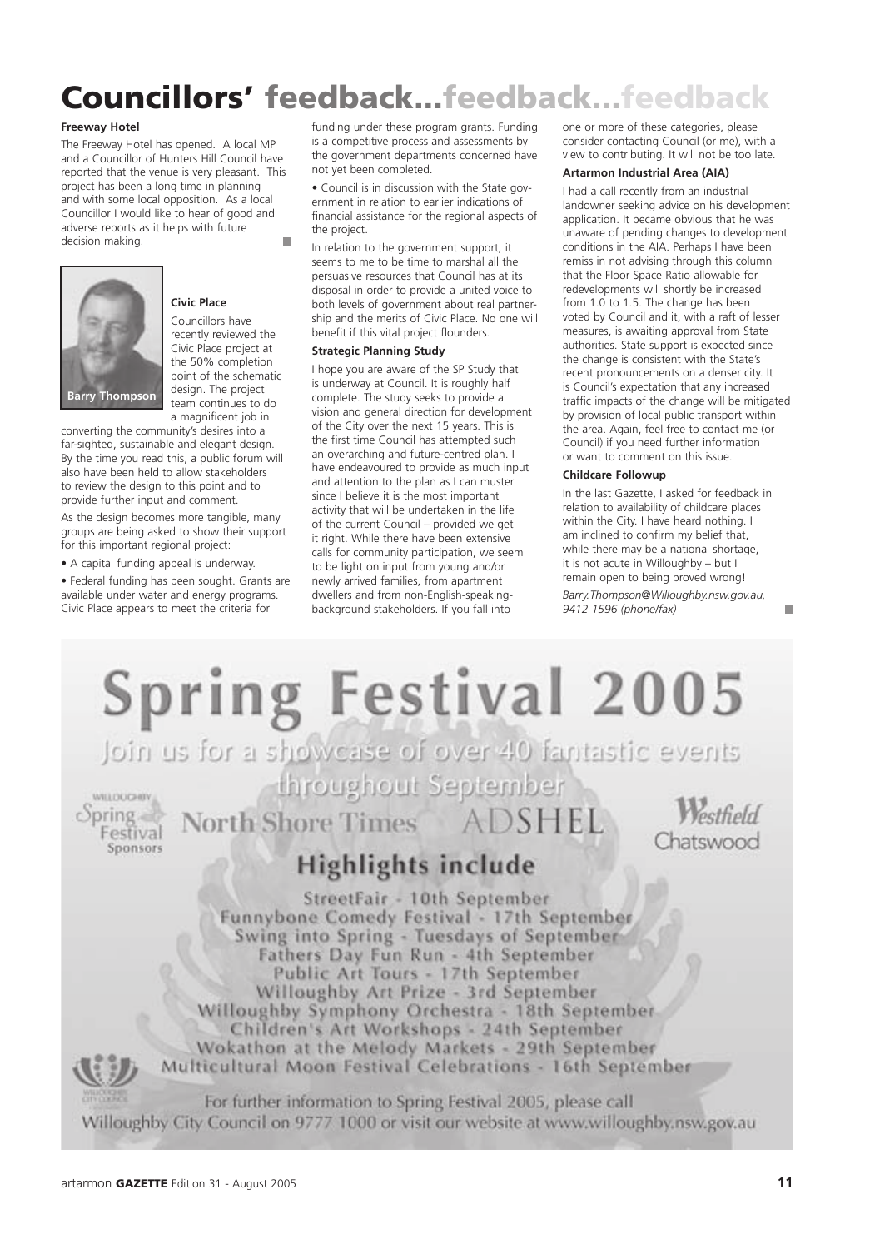## Councillors' feedback...feedback...feedback

#### **Freeway Hotel**

The Freeway Hotel has opened. A local MP and a Councillor of Hunters Hill Council have reported that the venue is very pleasant. This project has been a long time in planning and with some local opposition. As a local Councillor I would like to hear of good and adverse reports as it helps with future decision making. ÷,



#### **Civic Place**

Councillors have recently reviewed the Civic Place project at the 50% completion point of the schematic design. The project team continues to do a magnificent job in

converting the community's desires into a far-sighted, sustainable and elegant design. By the time you read this, a public forum will also have been held to allow stakeholders to review the design to this point and to provide further input and comment.

As the design becomes more tangible, many groups are being asked to show their support for this important regional project:

• A capital funding appeal is underway.

• Federal funding has been sought. Grants are available under water and energy programs. Civic Place appears to meet the criteria for

funding under these program grants. Funding is a competitive process and assessments by the government departments concerned have not yet been completed.

• Council is in discussion with the State government in relation to earlier indications of financial assistance for the regional aspects of the project.

In relation to the government support, it seems to me to be time to marshal all the persuasive resources that Council has at its disposal in order to provide a united voice to both levels of government about real partnership and the merits of Civic Place. No one will benefit if this vital project flounders.

#### **Strategic Planning Study**

I hope you are aware of the SP Study that is underway at Council. It is roughly half complete. The study seeks to provide a vision and general direction for development of the City over the next 15 years. This is the first time Council has attempted such an overarching and future-centred plan. I have endeavoured to provide as much input and attention to the plan as I can muster since I believe it is the most important activity that will be undertaken in the life of the current Council – provided we get it right. While there have been extensive calls for community participation, we seem to be light on input from young and/or newly arrived families, from apartment dwellers and from non-English-speakingbackground stakeholders. If you fall into

one or more of these categories, please consider contacting Council (or me), with a view to contributing. It will not be too late.

#### **Artarmon Industrial Area (AIA)**

I had a call recently from an industrial landowner seeking advice on his development application. It became obvious that he was unaware of pending changes to development conditions in the AIA. Perhaps I have been remiss in not advising through this column that the Floor Space Ratio allowable for redevelopments will shortly be increased from 1.0 to 1.5. The change has been voted by Council and it, with a raft of lesser measures, is awaiting approval from State authorities. State support is expected since the change is consistent with the State's recent pronouncements on a denser city. It is Council's expectation that any increased traffic impacts of the change will be mitigated by provision of local public transport within the area. Again, feel free to contact me (or Council) if you need further information or want to comment on this issue.

#### **Childcare Followup**

In the last Gazette, I asked for feedback in relation to availability of childcare places within the City. I have heard nothing. I am inclined to confirm my belief that, while there may be a national shortage, it is not acute in Willoughby – but I remain open to being proved wrong!

*Barry.Thompson@Willoughby.nsw.gov.au, 9412 1596 (phone/fax)* 



 $\overline{\phantom{a}}$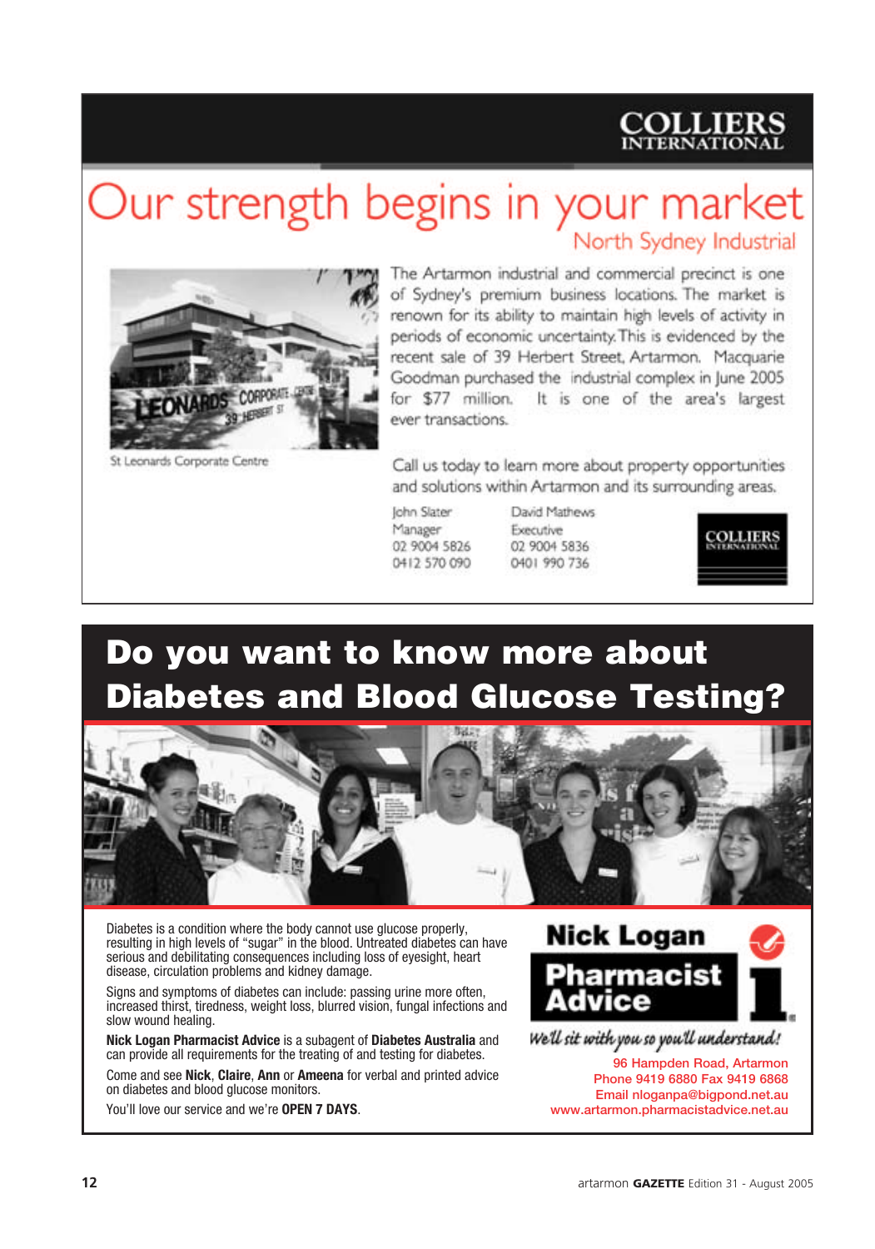## **COLLIERS**

## Our strength begins in your market

North Sydney Industrial



St Leonards Corporate Centre

The Artarmon industrial and commercial precinct is one of Sydney's premium business locations. The market is renown for its ability to maintain high levels of activity in periods of economic uncertainty. This is evidenced by the recent sale of 39 Herbert Street, Artarmon. Macquarie Goodman purchased the industrial complex in lune 2005 It is one of the area's largest for \$77 million. ever transactions.

Call us today to learn more about property opportunities and solutions within Artarmon and its surrounding areas.

**John Slater** Manager 02 9004 5826 0412 570 090 David Mathews Executive 02 9004 5836 0401 990 736



## Do you want to know more about Diabetes and Blood Glucose Testing?



Diabetes is a condition where the body cannot use glucose properly, resulting in high levels of "sugar" in the blood. Untreated diabetes can have serious and debilitating consequences including loss of eyesight, heart disease, circulation problems and kidney damage.

Signs and symptoms of diabetes can include: passing urine more often, increased thirst, tiredness, weight loss, blurred vision, fungal infections and slow wound healing.

**Nick Logan Pharmacist Advice** is a subagent of **Diabetes Australia** and can provide all requirements for the treating of and testing for diabetes.

Come and see **Nick**, **Claire**, **Ann** or **Ameena** for verbal and printed advice on diabetes and blood glucose monitors.

You'll love our service and we're **OPEN 7 DAYS**.



96 Hampden Road, Artarmon Phone 9419 6880 Fax 9419 6868 Email nloganpa@bigpond.net.au www.artarmon.pharmacistadvice.net.au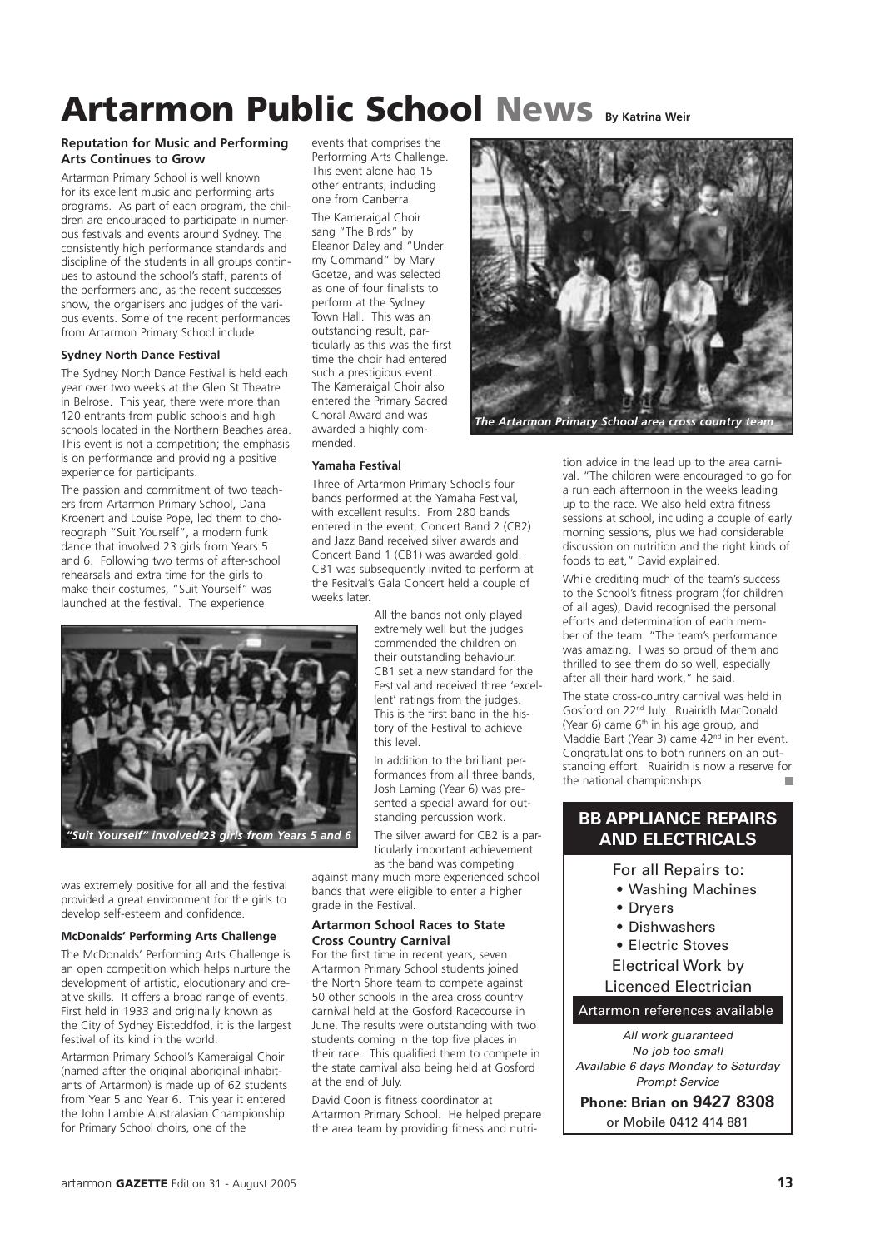## Artarmon Public School News **By Katrina Weir**

#### **Reputation for Music and Performing Arts Continues to Grow**

Artarmon Primary School is well known for its excellent music and performing arts programs. As part of each program, the children are encouraged to participate in numerous festivals and events around Sydney. The consistently high performance standards and discipline of the students in all groups continues to astound the school's staff, parents of the performers and, as the recent successes show, the organisers and judges of the various events. Some of the recent performances from Artarmon Primary School include:

#### **Sydney North Dance Festival**

The Sydney North Dance Festival is held each year over two weeks at the Glen St Theatre in Belrose. This year, there were more than 120 entrants from public schools and high schools located in the Northern Beaches area. This event is not a competition; the emphasis is on performance and providing a positive experience for participants.

The passion and commitment of two teachers from Artarmon Primary School, Dana Kroenert and Louise Pope, led them to choreograph "Suit Yourself", a modern funk dance that involved 23 girls from Years 5 and 6. Following two terms of after-school rehearsals and extra time for the girls to make their costumes, "Suit Yourself" was launched at the festival. The experience

events that comprises the Performing Arts Challenge. This event alone had 15 other entrants, including one from Canberra.

The Kameraigal Choir sang "The Birds" by Eleanor Daley and "Under my Command" by Mary Goetze, and was selected as one of four finalists to perform at the Sydney Town Hall. This was an outstanding result, particularly as this was the first time the choir had entered such a prestigious event. The Kameraigal Choir also entered the Primary Sacred Choral Award and was awarded a highly commended.

#### **Yamaha Festival**

Three of Artarmon Primary School's four bands performed at the Yamaha Festival, with excellent results. From 280 bands entered in the event, Concert Band 2 (CB2) and Jazz Band received silver awards and Concert Band 1 (CB1) was awarded gold. CB1 was subsequently invited to perform at the Fesitval's Gala Concert held a couple of weeks later.

> All the bands not only played extremely well but the judges commended the children on their outstanding behaviour. CB1 set a new standard for the Festival and received three 'excellent' ratings from the judges. This is the first band in the history of the Festival to achieve this level.

In addition to the brilliant performances from all three bands, Josh Laming (Year 6) was presented a special award for outstanding percussion work.

The silver award for CB2 is a particularly important achievement as the band was competing

against many much more experienced school bands that were eligible to enter a higher grade in the Festival.

#### **Artarmon School Races to State Cross Country Carnival**

For the first time in recent years, seven Artarmon Primary School students joined the North Shore team to compete against 50 other schools in the area cross country carnival held at the Gosford Racecourse in June. The results were outstanding with two students coming in the top five places in their race. This qualified them to compete in the state carnival also being held at Gosford at the end of July.

David Coon is fitness coordinator at Artarmon Primary School. He helped prepare the area team by providing fitness and nutri-



tion advice in the lead up to the area carnival. "The children were encouraged to go for a run each afternoon in the weeks leading up to the race. We also held extra fitness sessions at school, including a couple of early morning sessions, plus we had considerable discussion on nutrition and the right kinds of foods to eat," David explained.

While crediting much of the team's success to the School's fitness program (for children of all ages), David recognised the personal efforts and determination of each member of the team. "The team's performance was amazing. I was so proud of them and thrilled to see them do so well, especially after all their hard work," he said.

The state cross-country carnival was held in Gosford on 22nd July. Ruairidh MacDonald (Year 6) came  $6<sup>th</sup>$  in his age group, and Maddie Bart (Year 3) came 42nd in her event. Congratulations to both runners on an outstanding effort. Ruairidh is now a reserve for the national championships.

#### **BB APPLIANCE REPAIRS AND ELECTRICALS**

For all Repairs to:

- Washing Machines
- Dryers
- Dishwashers
- Electric Stoves
- Electrical Work by

Licenced Electrician

Artarmon references available

All work guaranteed No job too small Available 6 days Monday to Saturday Prompt Service

**Phone: Brian on 9427 8308** or Mobile 0412 414 881



was extremely positive for all and the festival provided a great environment for the girls to develop self-esteem and confidence.

#### **McDonalds' Performing Arts Challenge**

The McDonalds' Performing Arts Challenge is an open competition which helps nurture the development of artistic, elocutionary and creative skills. It offers a broad range of events. First held in 1933 and originally known as the City of Sydney Eisteddfod, it is the largest festival of its kind in the world.

Artarmon Primary School's Kameraigal Choir (named after the original aboriginal inhabitants of Artarmon) is made up of 62 students from Year 5 and Year 6. This year it entered the John Lamble Australasian Championship for Primary School choirs, one of the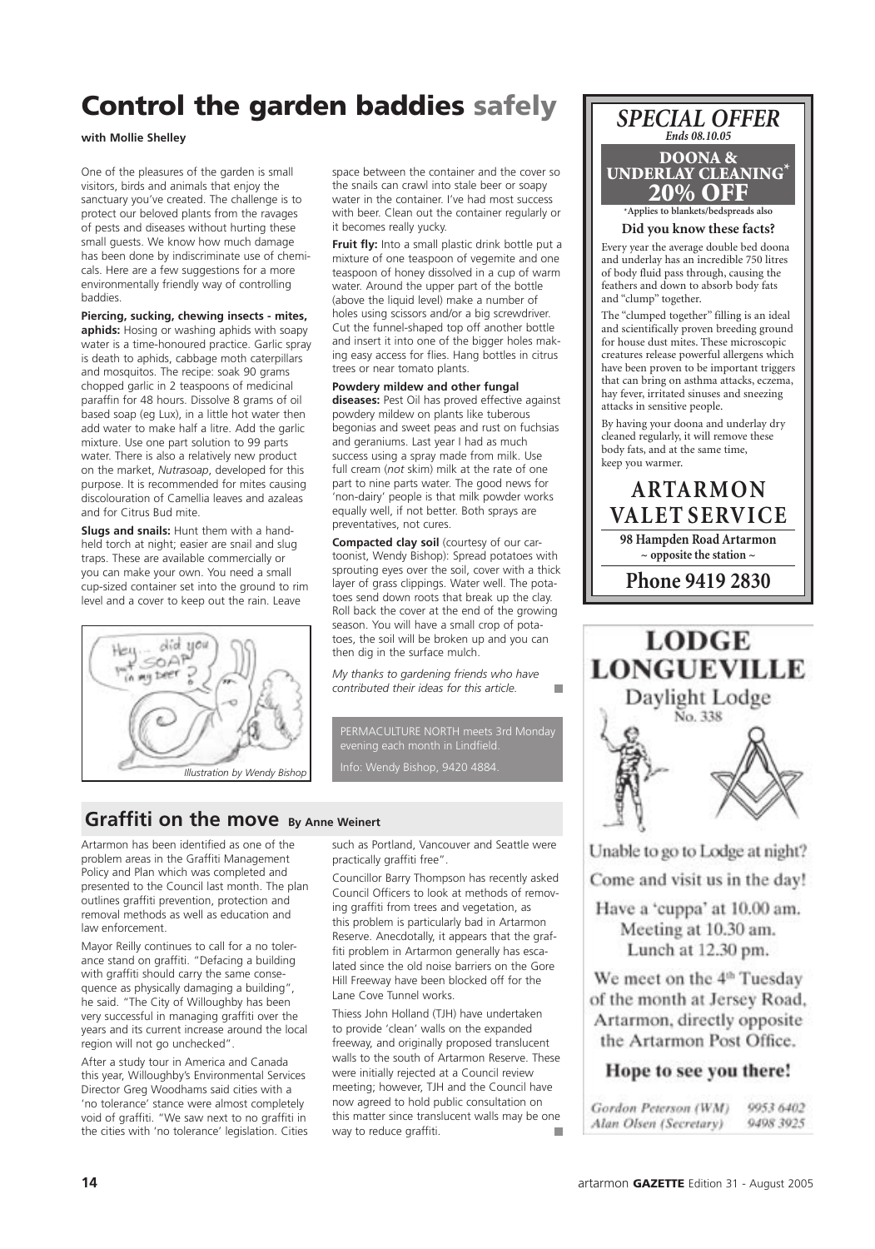## Control the garden baddies safely

**with Mollie Shelley**

One of the pleasures of the garden is small visitors, birds and animals that enjoy the sanctuary you've created. The challenge is to protect our beloved plants from the ravages of pests and diseases without hurting these small guests. We know how much damage has been done by indiscriminate use of chemicals. Here are a few suggestions for a more environmentally friendly way of controlling baddies.

**Piercing, sucking, chewing insects - mites, aphids:** Hosing or washing aphids with soapy water is a time-honoured practice. Garlic spray is death to aphids, cabbage moth caterpillars and mosquitos. The recipe: soak 90 grams chopped garlic in 2 teaspoons of medicinal paraffin for 48 hours. Dissolve 8 grams of oil based soap (eg Lux), in a little hot water then add water to make half a litre. Add the garlic mixture. Use one part solution to 99 parts water. There is also a relatively new product on the market, *Nutrasoap*, developed for this purpose. It is recommended for mites causing discolouration of Camellia leaves and azaleas and for Citrus Bud mite.

**Slugs and snails:** Hunt them with a handheld torch at night; easier are snail and slug traps. These are available commercially or you can make your own. You need a small cup-sized container set into the ground to rim level and a cover to keep out the rain. Leave



space between the container and the cover so the snails can crawl into stale beer or soapy water in the container. I've had most success with beer. Clean out the container regularly or it becomes really yucky.

**Fruit fly:** Into a small plastic drink bottle put a mixture of one teaspoon of vegemite and one teaspoon of honey dissolved in a cup of warm water. Around the upper part of the bottle (above the liquid level) make a number of holes using scissors and/or a big screwdriver. Cut the funnel-shaped top off another bottle and insert it into one of the bigger holes making easy access for flies. Hang bottles in citrus trees or near tomato plants.

**Powdery mildew and other fungal diseases:** Pest Oil has proved effective against powdery mildew on plants like tuberous begonias and sweet peas and rust on fuchsias and geraniums. Last year I had as much success using a spray made from milk. Use full cream (*not* skim) milk at the rate of one part to nine parts water. The good news for 'non-dairy' people is that milk powder works equally well, if not better. Both sprays are preventatives, not cures.

**Compacted clay soil** (courtesy of our cartoonist, Wendy Bishop): Spread potatoes with sprouting eyes over the soil, cover with a thick layer of grass clippings. Water well. The potatoes send down roots that break up the clay. Roll back the cover at the end of the growing season. You will have a small crop of potatoes, the soil will be broken up and you can then dig in the surface mulch.

*My thanks to gardening friends who have*  T. *contributed their ideas for this article.* 

PERMACULTURE NORTH meets 3rd Monday evening each month in Lindfield. Info: Wendy Bishop, 9420 4884.

#### **Graffiti on the move By Anne Weinert**

Artarmon has been identified as one of the problem areas in the Graffiti Management Policy and Plan which was completed and presented to the Council last month. The plan outlines graffiti prevention, protection and removal methods as well as education and law enforcement.

Mayor Reilly continues to call for a no tolerance stand on graffiti. "Defacing a building with graffiti should carry the same consequence as physically damaging a building", he said. "The City of Willoughby has been very successful in managing graffiti over the years and its current increase around the local region will not go unchecked".

After a study tour in America and Canada this year, Willoughby's Environmental Services Director Greg Woodhams said cities with a 'no tolerance' stance were almost completely void of graffiti. "We saw next to no graffiti in the cities with 'no tolerance' legislation. Cities

such as Portland, Vancouver and Seattle were practically graffiti free".

Councillor Barry Thompson has recently asked Council Officers to look at methods of removing graffiti from trees and vegetation, as this problem is particularly bad in Artarmon Reserve. Anecdotally, it appears that the graffiti problem in Artarmon generally has escalated since the old noise barriers on the Gore Hill Freeway have been blocked off for the Lane Cove Tunnel works.

Thiess John Holland (TJH) have undertaken to provide 'clean' walls on the expanded freeway, and originally proposed translucent walls to the south of Artarmon Reserve. These were initially rejected at a Council review meeting; however, TJH and the Council have now agreed to hold public consultation on this matter since translucent walls may be one way to reduce graffiti.п



**Did you know these facts?**

Every year the average double bed doona and underlay has an incredible 750 litres of body fluid pass through, causing the feathers and down to absorb body fats and "clump" together.

The "clumped together" filling is an ideal and scientifically proven breeding ground for house dust mites. These microscopic creatures release powerful allergens which have been proven to be important triggers that can bring on asthma attacks, eczema, hay fever, irritated sinuses and sneezing attacks in sensitive people.

By having your doona and underlay dry cleaned regularly, it will remove these body fats, and at the same time, keep you warmer.





Unable to go to Lodge at night?

Come and visit us in the day!

Have a 'cuppa' at 10.00 am. Meeting at 10.30 am. Lunch at 12.30 pm.

We meet on the 4<sup>th</sup> Tuesday of the month at Jersey Road, Artarmon, directly opposite the Artarmon Post Office.

#### Hope to see you there!

| Gordon Peterson (WM)   | 9953 6402 |
|------------------------|-----------|
| Alan Olsen (Secretary) | 9498 3925 |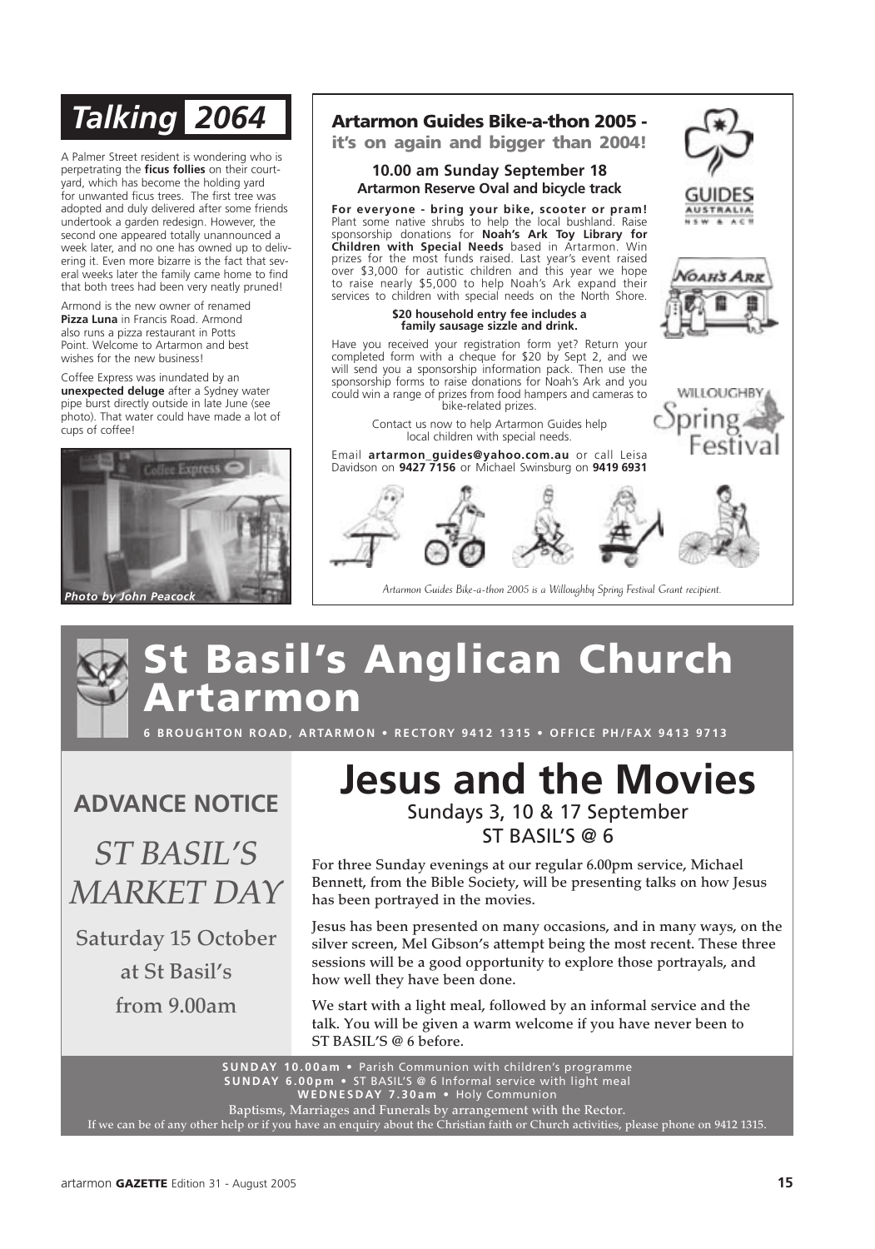A Palmer Street resident is wondering who is perpetrating the **ficus follies** on their courtyard, which has become the holding yard for unwanted ficus trees. The first tree was adopted and duly delivered after some friends undertook a garden redesign. However, the second one appeared totally unannounced a week later, and no one has owned up to delivering it. Even more bizarre is the fact that several weeks later the family came home to find that both trees had been very neatly pruned!

Armond is the new owner of renamed **Pizza Luna** in Francis Road. Armond also runs a pizza restaurant in Potts Point. Welcome to Artarmon and best wishes for the new business!

Coffee Express was inundated by an **unexpected deluge** after a Sydney water pipe burst directly outside in late June (see photo). That water could have made a lot of cups of coffee!



### *Talking 2064* Artarmon Guides Bike-a-thon 2005 it's on again and bigger than 2004!

#### **10.00 am Sunday September 18 Artarmon Reserve Oval and bicycle track**

**For everyone - bring your bike, scooter or pram!** Plant some native shrubs to help the local bushland. Raise sponsorship donations for **Noah's Ark Toy Library for Children with Special Needs** based in Artarmon. Win prizes for the most funds raised. Last year's event raised over \$3,000 for autistic children and this year we hope to raise nearly \$5,000 to help Noah's Ark expand their services to children with special needs on the North Shore.

> **\$20 household entry fee includes a family sausage sizzle and drink.**

Have you received your registration form yet? Return your completed form with a cheque for \$20 by Sept 2, and we will send you a sponsorship information pack. Then use the sponsorship forms to raise donations for Noah's Ark and you could win a range of prizes from food hampers and cameras to bike-related prizes.

> Contact us now to help Artarmon Guides help local children with special needs.

Email **artarmon\_guides@yahoo.com.au** or call Leisa Davidson on **9427 7156** or Michael Swinsburg on **9419 6931**



*GAHS APR* 

WILLOUGHBY

Artarmon Guides Bike-a-thon 2005 is a Willoughby Spring Festival Grant recipient.

## t Basil's Anglican Church rtarmon

**6 BROUGHTON ROAD, ARTARMON • RECTORY 9412 1315 • OFFICE PH/FAX 9413 9713** 

**ADVANCE NOTICE**

*ST BASIL'S MARKET DAY*

Saturday 15 October

at St Basil's

from 9.00am

### **Jesus and the Movies** Sundays 3, 10 & 17 September ST BASIL'S @ 6

For three Sunday evenings at our regular 6.00pm service, Michael Bennett, from the Bible Society, will be presenting talks on how Jesus has been portrayed in the movies.

Jesus has been presented on many occasions, and in many ways, on the silver screen, Mel Gibson's attempt being the most recent. These three sessions will be a good opportunity to explore those portrayals, and how well they have been done.

We start with a light meal, followed by an informal service and the talk. You will be given a warm welcome if you have never been to ST BASIL'S @ 6 before.

**S U N D AY 1 0 . 0 0 a m •** Parish Communion with children's programme **S U N D AY 6 . 0 0 p m •** ST BASIL'S @ 6 Informal service with light meal **W E D N E S D AY 7 . 3 0 a m •** Holy Communion Baptisms, Marriages and Funerals by arrangement with the Rector.

If we can be of any other help or if you have an enquiry about the Christian faith or Church activities, please phone on 9412 1315.